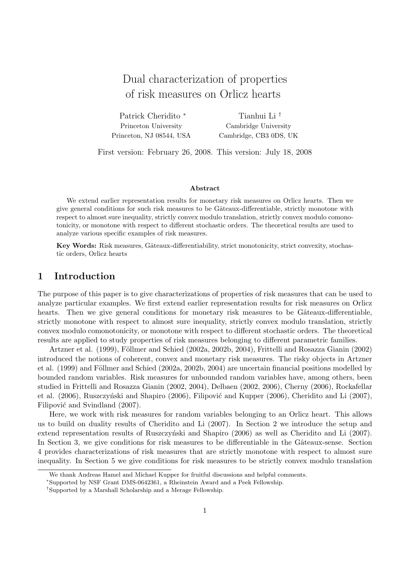# Dual characterization of properties of risk measures on Orlicz hearts

Patrick Cheridito <sup>∗</sup> Princeton University Princeton, NJ 08544, USA

Tianhui Li † Cambridge University Cambridge, CB3 0DS, UK

First version: February 26, 2008. This version: July 18, 2008

#### Abstract

We extend earlier representation results for monetary risk measures on Orlicz hearts. Then we give general conditions for such risk measures to be Gâteaux-differentiable, strictly monotone with respect to almost sure inequality, strictly convex modulo translation, strictly convex modulo comonotonicity, or monotone with respect to different stochastic orders. The theoretical results are used to analyze various specific examples of risk measures.

Key Words: Risk measures, Gâteaux-differentiability, strict monotonicity, strict convexity, stochastic orders, Orlicz hearts

### 1 Introduction

The purpose of this paper is to give characterizations of properties of risk measures that can be used to analyze particular examples. We first extend earlier representation results for risk measures on Orlicz hearts. Then we give general conditions for monetary risk measures to be Gâteaux-differentiable, strictly monotone with respect to almost sure inequality, strictly convex modulo translation, strictly convex modulo comonotonicity, or monotone with respect to different stochastic orders. The theoretical results are applied to study properties of risk measures belonging to different parametric families.

Artzner et al. (1999), Föllmer and Schied (2002a, 2002b, 2004), Frittelli and Rosazza Gianin (2002) introduced the notions of coherent, convex and monetary risk measures. The risky objects in Artzner et al. (1999) and Föllmer and Schied (2002a, 2002b, 2004) are uncertain financial positions modelled by bounded random variables. Risk measures for unbounded random variables have, among others, been studied in Frittelli and Rosazza Gianin (2002, 2004), Delbaen (2002, 2006), Cherny (2006), Rockafellar et al.  $(2006)$ , Ruszczyński and Shapiro  $(2006)$ , Filipović and Kupper  $(2006)$ , Cheridito and Li  $(2007)$ , Filipović and Svindland (2007).

Here, we work with risk measures for random variables belonging to an Orlicz heart. This allows us to build on duality results of Cheridito and Li (2007). In Section 2 we introduce the setup and extend representation results of Ruszczyński and Shapiro (2006) as well as Cheridito and Li (2007). In Section 3, we give conditions for risk measures to be differentiable in the Gâteaux-sense. Section 4 provides characterizations of risk measures that are strictly monotone with respect to almost sure inequality. In Section 5 we give conditions for risk measures to be strictly convex modulo translation

We thank Andreas Hamel and Michael Kupper for fruitful discussions and helpful comments.

<sup>∗</sup>Supported by NSF Grant DMS-0642361, a Rheinstein Award and a Peek Fellowship.

<sup>†</sup>Supported by a Marshall Scholarship and a Merage Fellowship.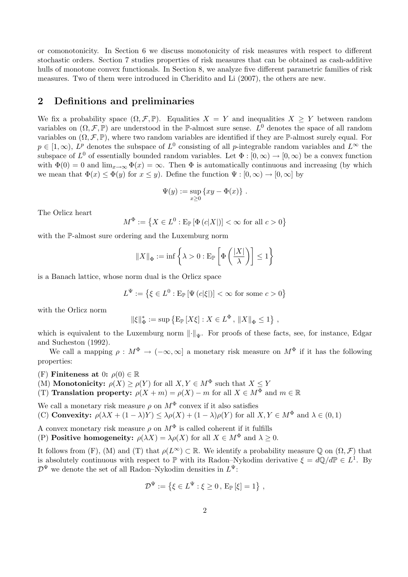or comonotonicity. In Section 6 we discuss monotonicity of risk measures with respect to different stochastic orders. Section 7 studies properties of risk measures that can be obtained as cash-additive hulls of monotone convex functionals. In Section 8, we analyze five different parametric families of risk measures. Two of them were introduced in Cheridito and Li (2007), the others are new.

# 2 Definitions and preliminaries

We fix a probability space  $(\Omega, \mathcal{F}, \mathbb{P})$ . Equalities  $X = Y$  and inequalities  $X \geq Y$  between random variables on  $(\Omega, \mathcal{F}, \mathbb{P})$  are understood in the P-almost sure sense.  $L^0$  denotes the space of all random variables on  $(\Omega, \mathcal{F}, \mathbb{P})$ , where two random variables are identified if they are P-almost surely equal. For  $p \in [1,\infty)$ ,  $L^p$  denotes the subspace of  $L^0$  consisting of all p-integrable random variables and  $L^{\infty}$  the subspace of  $L^0$  of essentially bounded random variables. Let  $\Phi : [0,\infty) \to [0,\infty)$  be a convex function with  $\Phi(0) = 0$  and  $\lim_{x\to\infty} \Phi(x) = \infty$ . Then  $\Phi$  is automatically continuous and increasing (by which we mean that  $\Phi(x) \leq \Phi(y)$  for  $x \leq y$ ). Define the function  $\Psi : [0, \infty) \to [0, \infty]$  by

$$
\Psi(y):=\sup_{x\geq 0}\left\{xy-\Phi(x)\right\}\,.
$$

The Orlicz heart

$$
M^{\Phi} := \left\{ X \in L^0 : \mathbb{E}_{\mathbb{P}} \left[ \Phi\left( c|X| \right) \right] < \infty \text{ for all } c > 0 \right\}
$$

with the P-almost sure ordering and the Luxemburg norm

$$
||X||_{\Phi} := \inf \left\{ \lambda > 0 : \mathbf{E}_{\mathbb{P}} \left[ \Phi \left( \frac{|X|}{\lambda} \right) \right] \le 1 \right\}
$$

is a Banach lattice, whose norm dual is the Orlicz space

$$
L^{\Psi} := \left\{ \xi \in L^0 : \mathrm{E}_{\mathbb{P}} \left[ \Psi \left( c | \xi \right| \right) \right\} < \infty \text{ for some } c > 0 \right\}
$$

with the Orlicz norm

$$
\|\xi\|_{\Phi}^* := \sup \left\{ \mathcal{E}_{\mathbb{P}} \left[ X \xi \right] : X \in L^{\Phi}, \|X\|_{\Phi} \le 1 \right\},\
$$

which is equivalent to the Luxemburg norm  $\lVert \cdot \rVert_W$ . For proofs of these facts, see, for instance, Edgar and Sucheston (1992).

We call a mapping  $\rho : M^{\Phi} \to (-\infty, \infty]$  a monetary risk measure on  $M^{\Phi}$  if it has the following properties:

(F) Finiteness at 0:  $\rho(0) \in \mathbb{R}$ 

(M) **Monotonicity:**  $\rho(X) \ge \rho(Y)$  for all  $X, Y \in M^{\Phi}$  such that  $X \le Y$ 

(T) Translation property:  $\rho(X + m) = \rho(X) - m$  for all  $X \in M^{\Phi}$  and  $m \in \mathbb{R}$ 

We call a monetary risk measure  $\rho$  on  $M^{\Phi}$  convex if it also satisfies

(C) **Convexity:**  $\rho(\lambda X + (1 - \lambda)Y) \leq \lambda \rho(X) + (1 - \lambda) \rho(Y)$  for all  $X, Y \in M^{\Phi}$  and  $\lambda \in (0, 1)$ 

A convex monetary risk measure  $\rho$  on  $M^{\Phi}$  is called coherent if it fulfills

(P) **Positive homogeneity:**  $\rho(\lambda X) = \lambda \rho(X)$  for all  $X \in M^{\Phi}$  and  $\lambda \geq 0$ .

It follows from (F), (M) and (T) that  $\rho(L^{\infty}) \subset \mathbb{R}$ . We identify a probability measure Q on  $(\Omega, \mathcal{F})$  that is absolutely continuous with respect to  $\mathbb P$  with its Radon–Nykodim derivative  $\xi = d\mathbb Q/d\mathbb P \in L^1$ . By  $\mathcal{D}^{\Psi}$  we denote the set of all Radon–Nykodim densities in  $L^{\Psi}$ :

$$
\mathcal{D}^{\Psi} := \{ \xi \in L^{\Psi} : \xi \ge 0, E_{\mathbb{P}}[\xi] = 1 \},
$$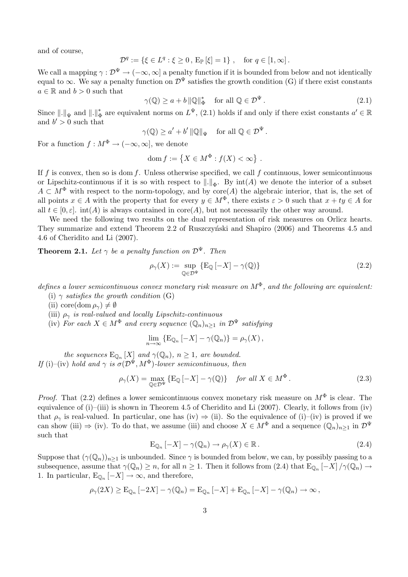and of course,

$$
\mathcal{D}^q := \{ \xi \in L^q : \xi \ge 0, \, \mathbb{E}_{\mathbb{P}} \left[ \xi \right] = 1 \}, \quad \text{for } q \in [1, \infty].
$$

We call a mapping  $\gamma : \mathcal{D}^{\Psi} \to (-\infty, \infty]$  a penalty function if it is bounded from below and not identically equal to  $\infty$ . We say a penalty function on  $\mathcal{D}^{\Psi}$  satisfies the growth condition (G) if there exist constants  $a \in \mathbb{R}$  and  $b > 0$  such that

> $\gamma(\mathbb{Q}) \geq a + b \|\mathbb{Q}\|_{\mathfrak{q}}^*$  $\Phi_{\Phi}^*$  for all  $\mathbb{Q} \in \mathcal{D}^{\Psi}$ . (2.1)

Since  $\|.\|_\Psi$  and  $\|.\|_{\Phi}^*$  $\phi_{\Phi}^*$  are equivalent norms on  $L^{\Psi}$ , (2.1) holds if and only if there exist constants  $a' \in \mathbb{R}$ and  $b' > 0$  such that

$$
\gamma(\mathbb{Q}) \ge a' + b' \|\mathbb{Q}\|_{\Psi} \quad \text{ for all } \mathbb{Q} \in \mathcal{D}^{\Psi}.
$$

For a function  $f : M^{\Phi} \to (-\infty, \infty]$ , we denote

$$
\mathrm{dom}\, f := \left\{ X \in M^{\Phi} : f(X) < \infty \right\} \, .
$$

If f is convex, then so is dom f. Unless otherwise specified, we call f continuous, lower semicontinuous or Lipschitz-continuous if it is so with respect to  $\|\cdot\|_{\Phi}$ . By  $\text{int}(A)$  we denote the interior of a subset  $A \subset M^{\Phi}$  with respect to the norm-topology, and by core(A) the algebraic interior, that is, the set of all points  $x \in A$  with the property that for every  $y \in M^{\Phi}$ , there exists  $\varepsilon > 0$  such that  $x + ty \in A$  for all  $t \in [0, \varepsilon]$ . int(A) is always contained in core(A), but not necessarily the other way around.

We need the following two results on the dual representation of risk measures on Orlicz hearts. They summarize and extend Theorem 2.2 of Ruszczyniski and Shapiro (2006) and Theorems 4.5 and 4.6 of Cheridito and Li (2007).

**Theorem 2.1.** Let  $\gamma$  be a penalty function on  $\mathcal{D}^{\Psi}$ . Then

$$
\rho_{\gamma}(X) := \sup_{\mathbb{Q} \in \mathcal{D}^{\Psi}} \{ \mathcal{E}_{\mathbb{Q}} \left[ -X \right] - \gamma(\mathbb{Q}) \}
$$
\n(2.2)

defines a lower semicontinuous convex monetary risk measure on  $M^{\Phi}$ , and the following are equivalent:

- (i)  $\gamma$  satisfies the growth condition (G)
- (ii) core(dom  $\rho_{\gamma}$ )  $\neq \emptyset$
- (iii)  $\rho_{\gamma}$  is real-valued and locally Lipschitz-continuous
- (iv) For each  $X \in M^{\Phi}$  and every sequence  $(\mathbb{Q}_n)_{n>1}$  in  $\mathcal{D}^{\Psi}$  satisfying

$$
\lim_{n\to\infty} \{ \mathbb{E}_{\mathbb{Q}_n} \left[ -X \right] - \gamma(\mathbb{Q}_n) \} = \rho_{\gamma}(X) ,
$$

the sequences  $E_{\mathbb{Q}_n}[X]$  and  $\gamma(\mathbb{Q}_n)$ ,  $n \geq 1$ , are bounded. If (i)–(iv) hold and  $\gamma$  is  $\sigma(D^{\Psi}, M^{\Phi})$ -lower semicontinuous, then

$$
\rho_{\gamma}(X) = \max_{\mathbb{Q} \in \mathcal{D}^{\Psi}} \{ \mathcal{E}_{\mathbb{Q}} \left[ -X \right] - \gamma(\mathbb{Q}) \} \quad \text{for all } X \in M^{\Phi} \,.
$$
 (2.3)

*Proof.* That (2.2) defines a lower semicontinuous convex monetary risk measure on  $M^{\Phi}$  is clear. The equivalence of (i)–(iii) is shown in Theorem 4.5 of Cheridito and Li (2007). Clearly, it follows from (iv) that  $\rho_{\gamma}$  is real-valued. In particular, one has (iv)  $\Rightarrow$  (ii). So the equivalence of (i)–(iv) is proved if we can show (iii)  $\Rightarrow$  (iv). To do that, we assume (iii) and choose  $X \in M^{\Phi}$  and a sequence  $(\mathbb{Q}_n)_{n>1}$  in  $\mathcal{D}^{\Psi}$ such that

$$
E_{\mathbb{Q}_n}[-X] - \gamma(\mathbb{Q}_n) \to \rho_\gamma(X) \in \mathbb{R} \,. \tag{2.4}
$$

Suppose that  $(\gamma(\mathbb{Q}_n))_{n>1}$  is unbounded. Since  $\gamma$  is bounded from below, we can, by possibly passing to a subsequence, assume that  $\gamma(\mathbb{Q}_n) \geq n$ , for all  $n \geq 1$ . Then it follows from  $(2.4)$  that  $\mathbb{E}_{\mathbb{Q}_n}[-X]/\gamma(\mathbb{Q}_n) \to$ 1. In particular,  $E_{\mathbb{Q}_n}[-X] \to \infty$ , and therefore,

$$
\rho_{\gamma}(2X) \geq \mathbb{E}_{\mathbb{Q}_n}[-2X] - \gamma(\mathbb{Q}_n) = \mathbb{E}_{\mathbb{Q}_n}[-X] + \mathbb{E}_{\mathbb{Q}_n}[-X] - \gamma(\mathbb{Q}_n) \to \infty,
$$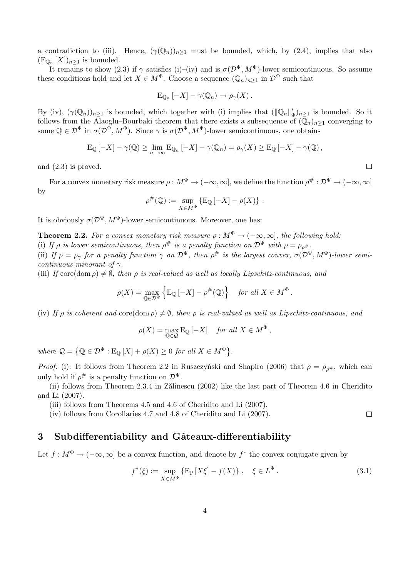a contradiction to (iii). Hence,  $(\gamma(\mathbb{Q}_n))_{n>1}$  must be bounded, which, by (2.4), implies that also  $(\mathrm{E}_{\mathbb{Q}_n}[X])_{n\geq 1}$  is bounded.

It remains to show (2.3) if  $\gamma$  satisfies (i)–(iv) and is  $\sigma(\mathcal{D}^{\Psi}, M^{\Phi})$ -lower semicontinuous. So assume these conditions hold and let  $X \in M^{\Phi}$ . Choose a sequence  $(\mathbb{Q}_n)_{n\geq 1}$  in  $\mathcal{D}^{\Psi}$  such that

$$
\mathrm{E}_{\mathbb{Q}_n}\left[-X\right]-\gamma(\mathbb{Q}_n)\to\rho_\gamma(X)\,.
$$

By (iv),  $(\gamma(\mathbb{Q}_n))_{n\geq 1}$  is bounded, which together with (i) implies that  $(\|\mathbb{Q}_n\|_{\Phi}^*$  $(\Phi_n)_{n\geq 1}$  is bounded. So it follows from the Alaoglu–Bourbaki theorem that there exists a subsequence of  $(\mathbb{Q}_n)_{n\geq 1}$  converging to some  $\mathbb{Q} \in \mathcal{D}^{\Psi}$  in  $\sigma(\mathcal{D}^{\Psi}, M^{\Phi})$ . Since  $\gamma$  is  $\sigma(\mathcal{D}^{\Psi}, M^{\Phi})$ -lower semicontinuous, one obtains

$$
\mathrm{E}_{\mathbb{Q}}\left[-X\right]-\gamma(\mathbb{Q})\geq \lim_{n\to\infty}\mathrm{E}_{\mathbb{Q}_n}\left[-X\right]-\gamma(\mathbb{Q}_n)=\rho_\gamma(X)\geq \mathrm{E}_{\mathbb{Q}}\left[-X\right]-\gamma(\mathbb{Q}),
$$

and (2.3) is proved.

For a convex monetary risk measure  $\rho: M^{\Phi} \to (-\infty, \infty]$ , we define the function  $\rho^{\#}: \mathcal{D}^{\Psi} \to (-\infty, \infty]$ by

$$
\rho^{\#}(\mathbb{Q}) := \sup_{X \in M^{\Phi}} \{ \mathbb{E}_{\mathbb{Q}} \left[ -X \right] - \rho(X) \} .
$$

It is obviously  $\sigma(\mathcal{D}^{\Psi}, M^{\Phi})$ -lower semicontinuous. Moreover, one has:

**Theorem 2.2.** For a convex monetary risk measure  $\rho : M^{\Phi} \to (-\infty, \infty]$ , the following hold: (i) If  $\rho$  is lower semicontinuous, then  $\rho^{\#}$  is a penalty function on  $\mathcal{D}^{\Psi}$  with  $\rho = \rho_{\rho^{\#}}$ . (ii) If  $\rho = \rho_{\gamma}$  for a penalty function  $\gamma$  on  $\mathcal{D}^{\Psi}$ , then  $\rho^{\#}$  is the largest convex,  $\sigma(\mathcal{D}^{\Psi}, M^{\Phi})$ -lower semicontinuous minorant of  $\gamma$ .

(iii) If core(dom  $\rho$ )  $\neq$  0, then  $\rho$  is real-valued as well as locally Lipschitz-continuous, and

$$
\rho(X) = \max_{\mathbb{Q} \in \mathcal{D}^{\Psi}} \left\{ \mathbb{E}_{\mathbb{Q}} \left[ -X \right] - \rho^{\#}(\mathbb{Q}) \right\} \quad \text{for all } X \in M^{\Phi}.
$$

(iv) If  $\rho$  is coherent and core(dom  $\rho$ )  $\neq \emptyset$ , then  $\rho$  is real-valued as well as Lipschitz-continuous, and

$$
\rho(X) = \max_{\mathbb{Q} \in \mathcal{Q}} \mathbb{E}_{\mathbb{Q}} \left[ -X \right] \quad \text{for all } X \in M^{\Phi},
$$

where  $\mathcal{Q} =$  $\{ \mathbb{Q} \in \mathcal{D}^{\Psi} : \mathrm{E}_{\mathbb{Q}}\left[X\right] + \rho(X) \geq 0 \text{ for all } X \in M^{\Phi} \}$ .

Proof. (i): It follows from Theorem 2.2 in Ruszczyński and Shapiro (2006) that  $\rho = \rho_{\rho^{\#}}$ , which can only hold if  $\rho^{\#}$  is a penalty function on  $\mathcal{D}^{\Psi}$ .

(ii) follows from Theorem 2.3.4 in Zälinescu  $(2002)$  like the last part of Theorem 4.6 in Cheridito and Li (2007).

(iii) follows from Theorems 4.5 and 4.6 of Cheridito and Li (2007).

(iv) follows from Corollaries 4.7 and 4.8 of Cheridito and Li (2007).

# 3 Subdifferentiability and Gâteaux-differentiability

Let  $f: M^{\Phi} \to (-\infty, \infty]$  be a convex function, and denote by  $f^*$  the convex conjugate given by

$$
f^*(\xi) := \sup_{X \in M^{\Phi}} \{ \mathbb{E}_{\mathbb{P}} \left[ X \xi \right] - f(X) \}, \quad \xi \in L^{\Psi}.
$$
 (3.1)

 $\Box$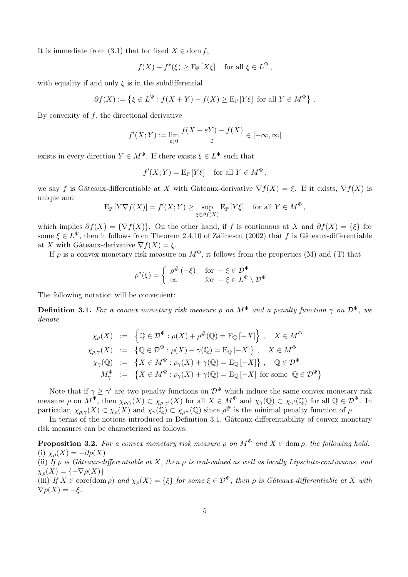It is immediate from  $(3.1)$  that for fixed  $X \in \text{dom } f$ ,

$$
f(X) + f^*(\xi) \ge \mathbb{E}_{\mathbb{P}}[X\xi]
$$
 for all  $\xi \in L^{\Psi}$ ,

with equality if and only  $\xi$  is in the subdifferential

$$
\partial f(X) := \left\{ \xi \in L^{\Psi} : f(X + Y) - f(X) \ge \mathbb{E}_{\mathbb{P}} \left[ Y \xi \right] \text{ for all } Y \in M^{\Phi} \right\}.
$$

By convexity of  $f$ , the directional derivative

$$
f'(X;Y) := \lim_{\varepsilon \downarrow 0} \frac{f(X + \varepsilon Y) - f(X)}{\varepsilon} \in [-\infty, \infty]
$$

exists in every direction  $Y \in M^{\Phi}$ . If there exists  $\xi \in L^{\Psi}$  such that

$$
f'(X;Y) = \mathbb{E}_{\mathbb{P}}[Y\xi]
$$
 for all  $Y \in M^{\Phi}$ ,

we say f is Gâteaux-differentiable at X with Gâteaux-derivative  $\nabla f(X) = \xi$ . If it exists,  $\nabla f(X)$  is unique and

$$
\mathrm{E}_{\mathbb{P}}\left[Y\nabla f(X)\right] = f'(X;Y) \ge \sup_{\xi \in \partial f(X)} \mathrm{E}_{\mathbb{P}}\left[Y\xi\right] \quad \text{for all } Y \in M^{\Phi},
$$

which implies  $\partial f(X) = \{ \nabla f(X) \}.$  On the other hand, if f is continuous at X and  $\partial f(X) = \{ \xi \}$  for some  $\xi \in L^{\Psi}$ , then it follows from Theorem 2.4.10 of Zălinescu (2002) that f is Gâteaux-differentiable at X with Gâteaux-derivative  $\nabla f(X) = \xi$ .

If  $\rho$  is a convex monetary risk measure on  $M^{\Phi}$ , it follows from the properties (M) and (T) that

$$
\rho^*(\xi) = \begin{cases} \rho^{\#}(-\xi) & \text{for } -\xi \in \mathcal{D}^{\Psi} \\ \infty & \text{for } -\xi \in L^{\Psi} \setminus \mathcal{D}^{\Psi} \end{cases}.
$$

The following notation will be convenient:

**Definition 3.1.** For a convex monetary risk measure  $\rho$  on  $M^{\Phi}$  and a penalty function  $\gamma$  on  $\mathcal{D}^{\Psi}$ , we denote

$$
\chi_{\rho}(X) := \left\{ \mathbb{Q} \in \mathcal{D}^{\Psi} : \rho(X) + \rho^{\#}(\mathbb{Q}) = \mathcal{E}_{\mathbb{Q}}[-X] \right\}, \quad X \in M^{\Phi}
$$
  
\n
$$
\chi_{\rho,\gamma}(X) := \left\{ \mathbb{Q} \in \mathcal{D}^{\Psi} : \rho(X) + \gamma(\mathbb{Q}) = \mathcal{E}_{\mathbb{Q}}[-X] \right\}, \quad X \in M^{\Phi}
$$
  
\n
$$
\chi_{\gamma}(\mathbb{Q}) := \left\{ X \in M^{\Phi} : \rho_{\gamma}(X) + \gamma(\mathbb{Q}) = \mathcal{E}_{\mathbb{Q}}[-X] \right\}, \quad \mathbb{Q} \in \mathcal{D}^{\Psi}
$$
  
\n
$$
M_{\gamma}^{\Phi} := \left\{ X \in M^{\Phi} : \rho_{\gamma}(X) + \gamma(\mathbb{Q}) = \mathcal{E}_{\mathbb{Q}}[-X] \text{ for some } \mathbb{Q} \in \mathcal{D}^{\Psi} \right\}
$$

Note that if  $\gamma \geq \gamma'$  are two penalty functions on  $\mathcal{D}^{\Psi}$  which induce the same convex monetary risk measure  $\rho$  on  $M^{\Phi}$ , then  $\chi_{\rho,\gamma}(X) \subset \chi_{\rho,\gamma'}(X)$  for all  $X \in M^{\Phi}$  and  $\chi_{\gamma}(\mathbb{Q}) \subset \chi_{\gamma'}(\mathbb{Q})$  for all  $\mathbb{Q} \in \mathcal{D}^{\Psi}$ . In particular,  $\chi_{\rho,\gamma}(X) \subset \chi_{\rho}(X)$  and  $\chi_{\gamma}(\mathbb{Q}) \subset \chi_{\rho^{\#}}(\mathbb{Q})$  since  $\rho^{\#}$  is the minimal penalty function of  $\rho$ .

In terms of the notions introduced in Definition 3.1, Gâteaux-differentiability of convex monetary risk measures can be characterized as follows:

**Proposition 3.2.** For a convex monetary risk measure  $\rho$  on  $M^{\Phi}$  and  $X \in \text{dom } \rho$ , the following hold: (i)  $\chi_{\rho}(X) = -\partial \rho(X)$ (ii) If  $\rho$  is Gâteaux-differentiable at X, then  $\rho$  is real-valued as well as locally Lipschitz-continuous, and  $\chi_{\rho}(X) = \{-\nabla \rho(X)\}\$ (iii) If  $X \in \text{core}(\text{dom }\rho)$  and  $\chi_o(X) = \{\xi\}$  for some  $\xi \in \mathcal{D}^{\Psi}$ , then  $\rho$  is Gâteaux-differentiable at X with  $\nabla \rho(X) = -\xi.$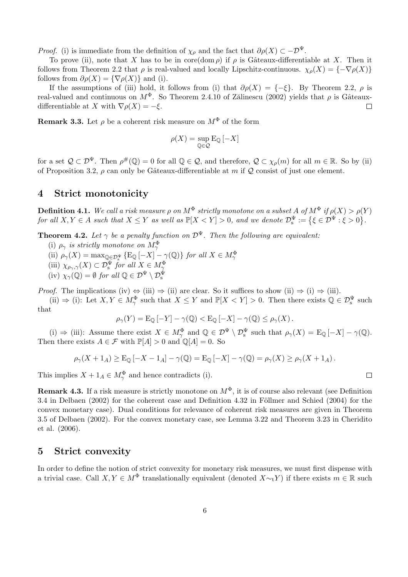*Proof.* (i) is immediate from the definition of  $\chi_{\rho}$  and the fact that  $\partial \rho(X) \subset -\mathcal{D}^{\Psi}$ .

To prove (ii), note that X has to be in core(dom  $\rho$ ) if  $\rho$  is Gâteaux-differentiable at X. Then it follows from Theorem 2.2 that  $\rho$  is real-valued and locally Lipschitz-continuous.  $\chi_{\rho}(X) = \{-\nabla \rho(X)\}\$ follows from  $\partial \rho(X) = {\nabla \rho(X)}$  and (i).

If the assumptions of (iii) hold, it follows from (i) that  $\partial \rho(X) = \{-\xi\}$ . By Theorem 2.2,  $\rho$  is real-valued and continuous on  $M^{\Phi}$ . So Theorem 2.4.10 of Zălinescu (2002) yields that  $\rho$  is Gâteauxdifferentiable at X with  $\nabla \rho(X) = -\xi$ .  $\Box$ 

**Remark 3.3.** Let  $\rho$  be a coherent risk measure on  $M^{\Phi}$  of the form

$$
\rho(X)=\sup_{\mathbb{Q}\in\mathcal{Q}}\mathrm{E}_{\mathbb{Q}}\left[-X\right]
$$

for a set  $\mathcal{Q} \subset \mathcal{D}^{\Psi}$ . Then  $\rho^{\#}(\mathbb{Q}) = 0$  for all  $\mathbb{Q} \in \mathcal{Q}$ , and therefore,  $\mathcal{Q} \subset \chi_{\rho}(m)$  for all  $m \in \mathbb{R}$ . So by (ii) of Proposition 3.2,  $\rho$  can only be Gâteaux-differentiable at m if Q consist of just one element.

# 4 Strict monotonicity

**Definition 4.1.** We call a risk measure  $\rho$  on  $M^{\Phi}$  strictly monotone on a subset A of  $M^{\Phi}$  if  $\rho(X) > \rho(Y)$ **Definition 4.1.** We call a risk measure  $\rho$  on  $M$  – strictly monotone on a subset A of  $M$  –  $\eta$   $\rho$ ( $\Lambda$ ) >  $\rho$ (<br>for all  $X, Y \in A$  such that  $X \leq Y$  as well as  $\mathbb{P}[X < Y] > 0$ , and we denote  $\mathcal{D}_{s}^{\Psi} := \{ \xi \in \mathcal{$ .

**Theorem 4.2.** Let  $\gamma$  be a penalty function on  $\mathcal{D}^{\Psi}$ . Then the following are equivalent:

- (i)  $\rho_{\gamma}$  is strictly monotone on  $M_{\gamma}^{\Phi}$
- (ii)  $\rho_{\gamma}(X) = \max_{\mathbb{Q} \in \mathcal{D}_s^{\Psi}} \{ \mathbb{E}_{\mathbb{Q}} \left[ -X \right] \gamma(\mathbb{Q}) \}$  for all  $X \in M_{\gamma}^{\Phi}$
- 
- (iii)  $\chi_{\rho_{\gamma},\gamma}(X) \subset \mathcal{D}_{\mathrm{s}}^{\Psi}$  for all  $X \in M_{\gamma}^{\Phi}$ <br>(iv)  $\chi_{\gamma}(\mathbb{Q}) = \emptyset$  for all  $\mathbb{Q} \in \mathcal{D}^{\Psi} \setminus \mathcal{D}_{\mathrm{s}}^{\Psi}$

*Proof.* The implications (iv)  $\Leftrightarrow$  (iii)  $\Rightarrow$  (ii) are clear. So it suffices to show (ii)  $\Rightarrow$  (i)  $\Rightarrow$  (iii).

(ii)  $\Rightarrow$  (i): Let  $X, Y \in M_{\gamma}^{\Phi}$  such that  $X \leq Y$  and  $\mathbb{P}[X < Y] > 0$ . Then there exists  $\mathbb{Q} \in \mathcal{D}_{s}^{\Psi}$  such that

$$
\rho_{\gamma}(Y) = \mathrm{E}_{\mathbb{Q}}\left[-Y\right] - \gamma(\mathbb{Q}) < \mathrm{E}_{\mathbb{Q}}\left[-X\right] - \gamma(\mathbb{Q}) \leq \rho_{\gamma}(X).
$$

(i)  $\Rightarrow$  (iii): Assume there exist  $X \in M_{\gamma}^{\Phi}$  and  $\mathbb{Q} \in \mathcal{D}^{\Psi} \setminus \mathcal{D}_{s}^{\Psi}$  such that  $\rho_{\gamma}(X) = \mathrm{E}_{\mathbb{Q}}[-X] - \gamma(\mathbb{Q})$ . Then there exists  $A \in \mathcal{F}$  with  $\mathbb{P}[A] > 0$  and  $\mathbb{Q}[A] = 0$ . So

$$
\rho_{\gamma}(X+1_A) \geq \mathbb{E}_{\mathbb{Q}}\left[-X-1_A\right]-\gamma(\mathbb{Q}) = \mathbb{E}_{\mathbb{Q}}\left[-X\right]-\gamma(\mathbb{Q}) = \rho_{\gamma}(X) \geq \rho_{\gamma}(X+1_A).
$$

This implies  $X + 1_A \in M_\gamma^{\Phi}$  and hence contradicts (i).

**Remark 4.3.** If a risk measure is strictly monotone on  $M^{\Phi}$ , it is of course also relevant (see Definition 3.4 in Delbaen  $(2002)$  for the coherent case and Definition 4.32 in Föllmer and Schied  $(2004)$  for the convex monetary case). Dual conditions for relevance of coherent risk measures are given in Theorem 3.5 of Delbaen (2002). For the convex monetary case, see Lemma 3.22 and Theorem 3.23 in Cheridito et al. (2006).

### 5 Strict convexity

In order to define the notion of strict convexity for monetary risk measures, we must first dispense with a trivial case. Call  $X, Y \in M^{\Phi}$  translationally equivalent (denoted  $X \sim_t Y$ ) if there exists  $m \in \mathbb{R}$  such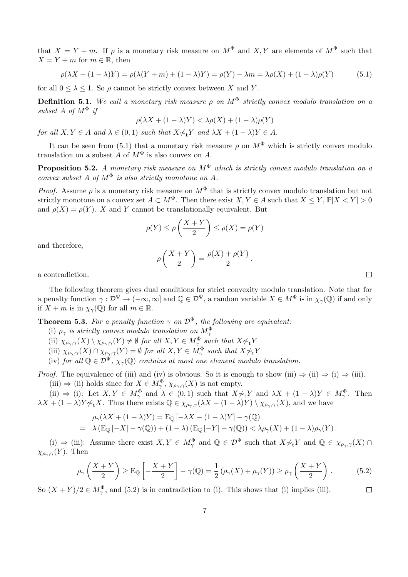that  $X = Y + m$ . If  $\rho$  is a monetary risk measure on  $M^{\Phi}$  and X, Y are elements of  $M^{\Phi}$  such that  $X = Y + m$  for  $m \in \mathbb{R}$ , then

$$
\rho(\lambda X + (1 - \lambda)Y) = \rho(\lambda(Y + m) + (1 - \lambda)Y) = \rho(Y) - \lambda m = \lambda \rho(X) + (1 - \lambda)\rho(Y) \tag{5.1}
$$

for all  $0 \leq \lambda \leq 1$ . So  $\rho$  cannot be strictly convex between X and Y.

**Definition 5.1.** We call a monetary risk measure  $\rho$  on  $M^{\Phi}$  strictly convex modulo translation on a subset A of  $M^{\Phi}$  if

$$
\rho(\lambda X + (1 - \lambda)Y) < \lambda \rho(X) + (1 - \lambda)\rho(Y)
$$

for all  $X, Y \in A$  and  $\lambda \in (0,1)$  such that  $X \not\sim_t Y$  and  $\lambda X + (1 - \lambda)Y \in A$ .

It can be seen from (5.1) that a monetary risk measure  $\rho$  on  $M^{\Phi}$  which is strictly convex modulo translation on a subset A of  $M^{\Phi}$  is also convex on A.

**Proposition 5.2.** A monetary risk measure on  $M^{\Phi}$  which is strictly convex modulo translation on a convex subset A of  $M^{\Phi}$  is also strictly monotone on A.

*Proof.* Assume  $\rho$  is a monetary risk measure on  $M^{\Phi}$  that is strictly convex modulo translation but not strictly monotone on a convex set  $A \subset M^{\Phi}$ . Then there exist  $X, Y \in A$  such that  $X \leq Y, \mathbb{P}[X \leq Y] > 0$ and  $\rho(X) = \rho(Y)$ . X and Y cannot be translationally equivalent. But

$$
\rho(Y) \le \rho\left(\frac{X+Y}{2}\right) \le \rho(X) = \rho(Y)
$$

and therefore,

$$
\rho\left(\frac{X+Y}{2}\right) = \frac{\rho(X) + \rho(Y)}{2},
$$

a contradiction.

The following theorem gives dual conditions for strict convexity modulo translation. Note that for a penalty function  $\gamma : \mathcal{D}^{\Psi} \to (-\infty, \infty]$  and  $\mathbb{Q} \in \mathcal{D}^{\Psi}$ , a random variable  $X \in M^{\Phi}$  is in  $\chi_{\gamma}(\mathbb{Q})$  if and only if  $X + m$  is in  $\chi_{\gamma}(\mathbb{Q})$  for all  $m \in \mathbb{R}$ .

**Theorem 5.3.** For a penalty function  $\gamma$  on  $\mathcal{D}^{\Psi}$ , the following are equivalent:

- (i)  $\rho_{\gamma}$  is strictly convex modulo translation on  $M_{\gamma}^{\Phi}$
- (ii)  $\chi_{\rho_\gamma,\gamma}(X) \setminus \chi_{\rho_\gamma,\gamma}(Y) \neq \emptyset$  for all  $X, Y \in M_\gamma^{\Phi}$  such that  $X \not\sim_t Y$
- (iii)  $\chi_{\rho_\gamma,\gamma}(X) \cap \chi_{\rho_\gamma,\gamma}(Y) = \emptyset$  for all  $X, Y \in M_\gamma^{\Phi}$  such that  $X \not\sim_t Y$
- (iv) for all  $\mathbb{Q} \in \mathcal{D}^{\Psi}$ ,  $\chi_{\gamma}(\mathbb{Q})$  contains at most one element modulo translation.

*Proof.* The equivalence of (iii) and (iv) is obvious. So it is enough to show (iii)  $\Rightarrow$  (ii)  $\Rightarrow$  (iii).

(iii)  $\Rightarrow$  (ii) holds since for  $X \in M_\gamma^{\Phi}$ ,  $\chi_{\rho_\gamma,\gamma}(X)$  is not empty.

(ii)  $\Rightarrow$  (i): Let  $X, Y \in M^{\Phi}_{\gamma}$  and  $\lambda \in (0,1)$  such that  $X \not\sim_t Y$  and  $\lambda X + (1 - \lambda)Y \in M^{\Phi}_{\gamma}$ . Then  $\lambda X + (1 - \lambda)Y \gamma_t X$ . Thus there exists  $\mathbb{Q} \in \chi_{\rho_\gamma, \gamma}(\lambda X + (1 - \lambda)Y) \setminus \chi_{\rho_\gamma, \gamma}(X)$ , and we have

$$
\rho_{\gamma}(\lambda X + (1 - \lambda)Y) = \mathcal{E}_{\mathbb{Q}}[-\lambda X - (1 - \lambda)Y] - \gamma(\mathbb{Q})
$$
  
=  $\lambda (\mathcal{E}_{\mathbb{Q}}[-X] - \gamma(\mathbb{Q})) + (1 - \lambda) (\mathcal{E}_{\mathbb{Q}}[-Y] - \gamma(\mathbb{Q})) < \lambda \rho_{\gamma}(X) + (1 - \lambda) \rho_{\gamma}(Y).$ 

(i)  $\Rightarrow$  (iii): Assume there exist  $X, Y \in M_{\gamma}^{\Phi}$  and  $\mathbb{Q} \in \mathcal{D}^{\Psi}$  such that  $X \not\sim_t Y$  and  $\mathbb{Q} \in \chi_{\rho_{\gamma},\gamma}(X) \cap$  $\chi_{\rho_{\gamma},\gamma}(Y)$ . Then

$$
\rho_{\gamma}\left(\frac{X+Y}{2}\right) \ge \mathcal{E}_{\mathbb{Q}}\left[-\frac{X+Y}{2}\right] - \gamma(\mathbb{Q}) = \frac{1}{2}\left(\rho_{\gamma}(X) + \rho_{\gamma}(Y)\right) \ge \rho_{\gamma}\left(\frac{X+Y}{2}\right). \tag{5.2}
$$

So  $(X + Y)/2 \in M_{\gamma}^{\Phi}$ , and (5.2) is in contradiction to (i). This shows that (i) implies (iii).

 $\Box$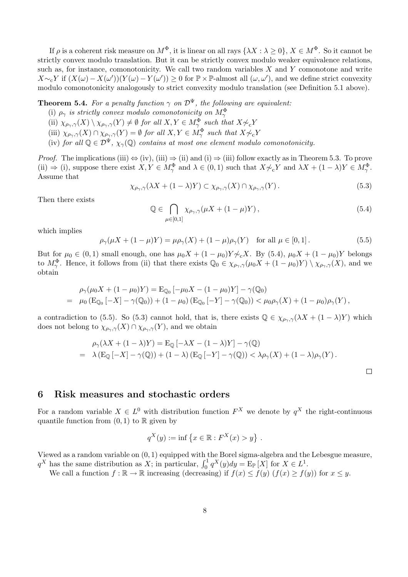If  $\rho$  is a coherent risk measure on  $M^{\Phi}$ , it is linear on all rays  $\{\lambda X : \lambda > 0\}$ ,  $X \in M^{\Phi}$ . So it cannot be strictly convex modulo translation. But it can be strictly convex modulo weaker equivalence relations, such as, for instance, comonotonicity. We call two random variables  $X$  and  $Y$  comonotone and write  $X \sim_c Y$  if  $(X(\omega) - X(\omega'))(Y(\omega) - Y(\omega')) \geq 0$  for  $\mathbb{P} \times \mathbb{P}$ -almost all  $(\omega, \omega')$ , and we define strict convexity modulo comonotonicity analogously to strict convexity modulo translation (see Definition 5.1 above).

**Theorem 5.4.** For a penalty function  $\gamma$  on  $\mathcal{D}^{\Psi}$ , the following are equivalent:

- (i)  $\rho_{\gamma}$  is strictly convex modulo comonotonicity on  $M_{\gamma}^{\Phi}$
- (ii)  $\chi_{\rho_\gamma,\gamma}(X) \setminus \chi_{\rho_\gamma,\gamma}(Y) \neq \emptyset$  for all  $X, Y \in M_\gamma^{\Phi}$  such that  $X \not\sim_c Y$
- (iii)  $\chi_{\rho_{\gamma},\gamma}(X) \cap \chi_{\rho_{\gamma},\gamma}(Y) = \emptyset$  for all  $X, Y \in M_{\gamma}^{\Phi}$  such that  $X \not\sim_c Y$
- (iv) for all  $\mathbb{Q} \in \mathcal{D}^{\Psi}$ ,  $\chi_{\gamma}(\mathbb{Q})$  contains at most one element modulo comonotonicity.

*Proof.* The implications (iii)  $\Leftrightarrow$  (iv), (iii)  $\Rightarrow$  (ii) and (i)  $\Rightarrow$  (iii) follow exactly as in Theorem 5.3. To prove (ii)  $\Rightarrow$  (i), suppose there exist  $X, Y \in M_{\gamma}^{\Phi}$  and  $\lambda \in (0,1)$  such that  $X \not\sim_c Y$  and  $\lambda X + (1 - \lambda)Y \in M_{\gamma}^{\Phi}$ . Assume that

$$
\chi_{\rho_{\gamma},\gamma}(\lambda X + (1 - \lambda)Y) \subset \chi_{\rho_{\gamma},\gamma}(X) \cap \chi_{\rho_{\gamma},\gamma}(Y). \tag{5.3}
$$

Then there exists

$$
\mathbb{Q} \in \bigcap_{\mu \in [0,1]} \chi_{\rho_\gamma,\gamma}(\mu X + (1 - \mu) Y), \tag{5.4}
$$

 $\Box$ 

which implies

$$
\rho_{\gamma}(\mu X + (1 - \mu)Y) = \mu \rho_{\gamma}(X) + (1 - \mu) \rho_{\gamma}(Y) \text{ for all } \mu \in [0, 1].
$$
 (5.5)

But for  $\mu_0 \in (0,1)$  small enough, one has  $\mu_0 X + (1 - \mu_0) Y \nless_{c} X$ . By (5.4),  $\mu_0 X + (1 - \mu_0) Y$  belongs to  $M_\gamma^{\Phi}$ . Hence, it follows from (ii) that there exists  $\mathbb{Q}_0 \in \chi_{\rho_\gamma,\gamma}(\mu_0 X + (1 - \mu_0) Y) \setminus \chi_{\rho_\gamma,\gamma}(X)$ , and we obtain

$$
\rho_{\gamma}(\mu_0 X + (1 - \mu_0)Y) = \mathcal{E}_{\mathbb{Q}_0} [-\mu_0 X - (1 - \mu_0)Y] - \gamma(\mathbb{Q}_0)
$$
  
=  $\mu_0 (\mathcal{E}_{\mathbb{Q}_0} [-X] - \gamma(\mathbb{Q}_0)) + (1 - \mu_0) (\mathcal{E}_{\mathbb{Q}_0} [-Y] - \gamma(\mathbb{Q}_0)) < \mu_0 \rho_{\gamma}(X) + (1 - \mu_0) \rho_{\gamma}(Y),$ 

a contradiction to (5.5). So (5.3) cannot hold, that is, there exists  $\mathbb{Q} \in \chi_{\rho_{\gamma},\gamma}(\lambda X + (1-\lambda)Y)$  which does not belong to  $\chi_{\rho_{\gamma},\gamma}(X) \cap \chi_{\rho_{\gamma},\gamma}(Y)$ , and we obtain

$$
\rho_{\gamma}(\lambda X + (1 - \lambda)Y) = \mathcal{E}_{\mathbb{Q}}[-\lambda X - (1 - \lambda)Y] - \gamma(\mathbb{Q})
$$
  
=  $\lambda (\mathcal{E}_{\mathbb{Q}}[-X] - \gamma(\mathbb{Q})) + (1 - \lambda) (\mathcal{E}_{\mathbb{Q}}[-Y] - \gamma(\mathbb{Q})) < \lambda \rho_{\gamma}(X) + (1 - \lambda) \rho_{\gamma}(Y).$ 

### 6 Risk measures and stochastic orders

For a random variable  $X \in L^0$  with distribution function  $F^X$  we denote by  $q^X$  the right-continuous quantile function from  $(0, 1)$  to  $\mathbb R$  given by

$$
q^{X}(y) := \inf \{ x \in \mathbb{R} : F^{X}(x) > y \} .
$$

Viewed as a random variable on (0, 1) equipped with the Borel sigma-algebra and the Lebesgue measure, viewed as a random variable on  $(0, 1)$  equipped with the Borel sigma-algebra and the  $q^X$  has the same distribution as X; in particular,  $\int_0^1 q^X(y) dy = \mathbb{E}_{\mathbb{P}}[X]$  for  $X \in L^1$ .

We call a function  $f : \mathbb{R} \to \mathbb{R}$  increasing (decreasing) if  $f(x) \leq f(y)$   $(f(x) \geq f(y))$  for  $x \leq y$ .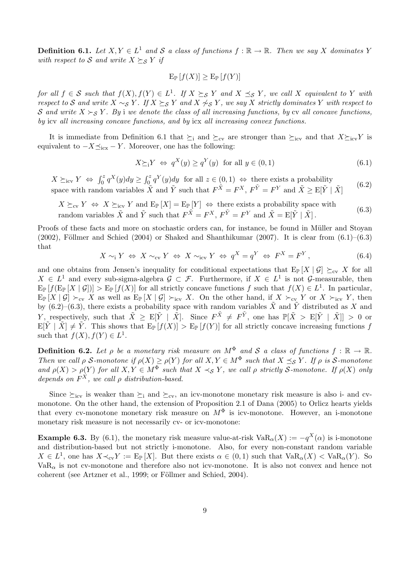**Definition 6.1.** Let  $X, Y \in L^1$  and S a class of functions  $f : \mathbb{R} \to \mathbb{R}$ . Then we say X dominates Y with respect to S and write  $X \succeq_S Y$  if

$$
\mathrm{E}_{\mathbb{P}}\left[f(X)\right] \geq \mathrm{E}_{\mathbb{P}}\left[f(Y)\right]
$$

for all  $f \in S$  such that  $f(X), f(Y) \in L^1$ . If  $X \succeq_S Y$  and  $X \preceq_S Y$ , we call X equivalent to Y with respect to S and write  $X \sim_S Y$ . If  $X \succeq_S Y$  and  $X \not\sim_S Y$ , we say X strictly dominates Y with respect to S and write  $X \succ_S Y$ . By i we denote the class of all increasing functions, by cv all concave functions, by icv all increasing concave functions, and by icx all increasing convex functions.

It is immediate from Definition 6.1 that  $\succeq_i$  and  $\succeq_{cv}$  are stronger than  $\succeq_{icv}$  and that  $X\succeq_{icv}Y$  is equivalent to  $-X \preceq_{\text{icx}} - Y$ . Moreover, one has the following:

$$
X \succeq_1 Y \iff q^X(y) \ge q^Y(y) \text{ for all } y \in (0,1)
$$
\n
$$
(6.1)
$$

 $X \succeq_{\text{icv}} Y \Leftrightarrow \int_0^z$  $\int_0^z q^X(y) dy \ge \int_0^z$  $\int_0^z q^Y(y) dy$  for all  $z \in (0,1) \Leftrightarrow$  there exists a probability space with random variables  $\tilde{X}$  and  $\tilde{Y}$  such that  $F^{\tilde{X}} = F^X$ ,  $F^{\tilde{Y}} = F^Y$  and  $\tilde{X} \geq E[\tilde{Y} | \tilde{X}]$ (6.2)

$$
X \succeq_{\text{cv}} Y \Leftrightarrow X \succeq_{\text{icv}} Y \text{ and } \mathbb{E}_{\mathbb{P}}[X] = \mathbb{E}_{\mathbb{P}}[Y] \Leftrightarrow \text{ there exists a probability space with random variables } \tilde{X} \text{ and } \tilde{Y} \text{ such that } F^{\tilde{X}} = F^X, F^{\tilde{Y}} = F^Y \text{ and } \tilde{X} = \mathbb{E}[\tilde{Y} | \tilde{X}].
$$
 (6.3)

Proofs of these facts and more on stochastic orders can, for instance, be found in Müller and Stoyan  $(2002)$ , Föllmer and Schied  $(2004)$  or Shaked and Shanthikumar  $(2007)$ . It is clear from  $(6.1)$ – $(6.3)$ that

$$
X \sim_{\text{i}} Y \iff X \sim_{\text{cv}} Y \iff X \sim_{\text{icv}} Y \iff q^X = q^Y \iff F^X = F^Y \,, \tag{6.4}
$$

and one obtains from Jensen's inequality for conditional expectations that  $E_{\mathbb{P}}[X | \mathcal{G}] \succeq_{\text{cv}} X$  for all  $X \in L^1$  and every sub-sigma-algebra  $\mathcal{G} \subset \mathcal{F}$ . Furthermore, if  $X \in L^1$  is not  $\mathcal{G}$ -measurable, then  $E_{\mathbb{P}}[f(E_{\mathbb{P}}[X \mid \mathcal{G}])] > E_{\mathbb{P}}[f(X)]$  for all strictly concave functions f such that  $f(X) \in L^1$ . In particular,  $E_{\mathbb{P}}[X \mid \mathcal{G}] \succ_{\text{cv}} X$  as well as  $E_{\mathbb{P}}[X \mid \mathcal{G}] \succ_{\text{iv}} X$ . On the other hand, if  $X \succ_{\text{cv}} Y$  or  $X \succ_{\text{iv}} Y$ , then by (6.2)–(6.3), there exists a probability space with random variables  $\tilde{X}$  and  $\tilde{Y}$  distributed as X and Y, respectively, such that  $\tilde{X} \geq E[\tilde{Y} | \tilde{X}]$ . Since  $F^{\tilde{X}} \neq F^{\tilde{Y}}$ , one has  $\mathbb{P}[\tilde{X} > E[\tilde{Y} | \tilde{X}]] > 0$  or  $E[\tilde{Y} \mid \tilde{X}] \neq \tilde{Y}$ . This shows that  $E_{\mathbb{P}}[f(X)] > E_{\mathbb{P}}[f(Y)]$  for all strictly concave increasing functions f such that  $f(X), f(Y) \in L^1$ .

**Definition 6.2.** Let  $\rho$  be a monetary risk measure on  $M^{\Phi}$  and S a class of functions  $f : \mathbb{R} \to \mathbb{R}$ . Then we call  $\rho$  S-monotone if  $\rho(X) \ge \rho(Y)$  for all  $X, Y \in M^{\Phi}$  such that  $X \preceq_{\mathcal{S}} Y$ . If  $\rho$  is S-monotone and  $\rho(X) > \rho(Y)$  for all  $X, Y \in M^{\overline{\Phi}}$  such that  $X \prec_S Y$ , we call  $\rho$  strictly S-monotone. If  $\rho(X)$  only depends on  $F^X$ , we call  $\rho$  distribution-based.

Since  $\succeq_{\text{icv}}$  is weaker than  $\succeq_i$  and  $\succeq_{\text{cv}}$ , an icv-monotone monetary risk measure is also i- and cvmonotone. On the other hand, the extension of Proposition 2.1 of Dana (2005) to Orlicz hearts yields that every cv-monotone monetary risk measure on  $M^{\Phi}$  is icv-monotone. However, an i-monotone monetary risk measure is not necessarily cv- or icv-monotone:

**Example 6.3.** By (6.1), the monetary risk measure value-at-risk  $VaR_{\alpha}(X) := -q^X(\alpha)$  is i-monotone and distribution-based but not strictly i-monotone. Also, for every non-constant random variable  $X \in L^1$ , one has  $X \prec_{\text{cv}} Y := \mathbb{E}_{\mathbb{P}}[X]$ . But there exists  $\alpha \in (0,1)$  such that  $\text{VaR}_{\alpha}(X) < \text{VaR}_{\alpha}(Y)$ . So  $VaR_{\alpha}$  is not cv-monotone and therefore also not icv-monotone. It is also not convex and hence not coherent (see Artzner et al., 1999; or Föllmer and Schied, 2004).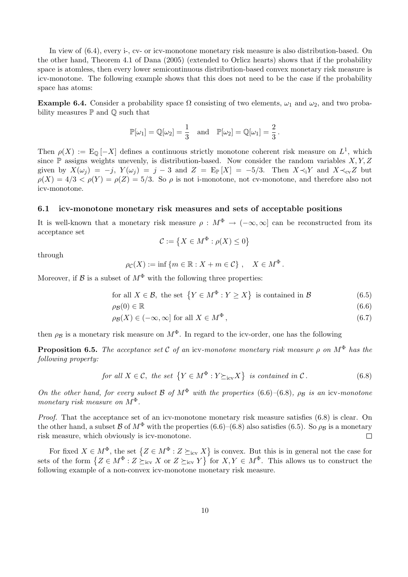In view of (6.4), every i-, cv- or icv-monotone monetary risk measure is also distribution-based. On the other hand, Theorem 4.1 of Dana (2005) (extended to Orlicz hearts) shows that if the probability space is atomless, then every lower semicontinuous distribution-based convex monetary risk measure is icv-monotone. The following example shows that this does not need to be the case if the probability space has atoms:

**Example 6.4.** Consider a probability space  $\Omega$  consisting of two elements,  $\omega_1$  and  $\omega_2$ , and two probability measures  $\mathbb P$  and  $\mathbb Q$  such that

$$
\mathbb{P}[\omega_1] = \mathbb{Q}[\omega_2] = \frac{1}{3} \text{ and } \mathbb{P}[\omega_2] = \mathbb{Q}[\omega_1] = \frac{2}{3}.
$$

Then  $\rho(X) := \mathbb{E}_{\mathbb{Q}}[-X]$  defines a continuous strictly monotone coherent risk measure on  $L^1$ , which since  $\mathbb P$  assigns weights unevenly, is distribution-based. Now consider the random variables  $X, Y, Z$ given by  $X(\omega_i) = -j$ ,  $Y(\omega_i) = j - 3$  and  $Z = \mathbb{E}_{\mathbb{P}}[X] = -5/3$ . Then  $X \prec_i Y$  and  $X \prec_{\text{cv}} Z$  but  $\rho(X) = 4/3 < \rho(Y) = \rho(Z) = 5/3$ . So  $\rho$  is not i-monotone, not cv-monotone, and therefore also not icv-monotone.

#### 6.1 icv-monotone monetary risk measures and sets of acceptable positions

It is well-known that a monetary risk measure  $\rho : M^{\Phi} \to (-\infty, \infty]$  can be reconstructed from its acceptance set ª

$$
\mathcal{C} := \left\{ X \in M^{\Phi} : \rho(X) \le 0 \right\}
$$

through

$$
\rho_{\mathcal{C}}(X) := \inf \{ m \in \mathbb{R} : X + m \in \mathcal{C} \}, \quad X \in M^{\Phi}.
$$

Moreover, if  $\mathcal B$  is a subset of  $M^{\Phi}$  with the following three properties:

for all 
$$
X \in \mathcal{B}
$$
, the set  $\{Y \in M^{\Phi} : Y \ge X\}$  is contained in  $\mathcal{B}$  (6.5)

$$
\rho_{\mathcal{B}}(0) \in \mathbb{R} \tag{6.6}
$$

$$
\rho_{\mathcal{B}}(X) \in (-\infty, \infty] \text{ for all } X \in M^{\Phi}, \tag{6.7}
$$

then  $\rho_B$  is a monetary risk measure on  $M^{\Phi}$ . In regard to the icv-order, one has the following

**Proposition 6.5.** The acceptance set C of an icv-monotone monetary risk measure  $\rho$  on  $M^{\Phi}$  has the following property:

for all 
$$
X \in \mathcal{C}
$$
, the set  $\{Y \in M^{\Phi} : Y \succeq_{\text{icv}} X\}$  is contained in  $\mathcal{C}$ . (6.8)

On the other hand, for every subset B of  $M^{\Phi}$  with the properties (6.6)–(6.8),  $\rho_B$  is an icv-monotone monetary risk measure on  $M^{\Phi}$ .

Proof. That the acceptance set of an icv-monotone monetary risk measure satisfies (6.8) is clear. On the other hand, a subset B of  $M^{\Phi}$  with the properties (6.6)–(6.8) also satisfies (6.5). So  $\rho_B$  is a monetary risk measure, which obviously is icv-monotone. □

For fixed  $X \in M^{\Phi}$ , the set  $\{Z \in M^{\Phi} : Z \succeq_{\text{icv}} X\}$ For fixed  $X \in M^{\Phi}$ , the set  $\{Z \in M^{\Phi} : Z \succeq_{\text{icv}} X\}$  is convex. But this is in general not the case for sets of the form  $\{Z \in M^{\Phi} : Z \succeq_{\text{icv}} X \text{ or } Z \succeq_{\text{icv}} Y\}$  for  $X, Y \in M^{\Phi}$ . This allows us to construc following example of a non-convex icv-monotone monetary risk measure.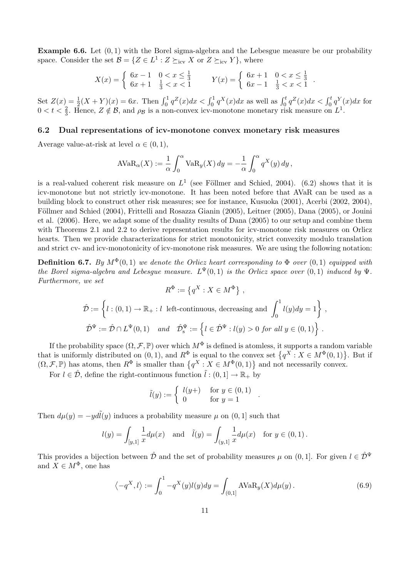**Example 6.6.** Let  $(0, 1)$  with the Borel sigma-algebra and the Lebesgue measure be our probability space. Consider the set  $\mathcal{B} = \{ Z \in L^1 : Z \succeq_{\text{icv}} X \text{ or } Z \succeq_{\text{icv}} Y \}$ , where

$$
X(x) = \begin{cases} 6x - 1 & 0 < x \le \frac{1}{3} \\ 6x + 1 & \frac{1}{3} < x < 1 \end{cases} \qquad Y(x) = \begin{cases} 6x + 1 & 0 < x \le \frac{1}{3} \\ 6x - 1 & \frac{1}{3} < x < 1 \end{cases}.
$$

Set  $Z(x) = \frac{1}{2}(X+Y)(x) = 6x$ . Then  $\int_0^1 q^Z(x)dx < \int_0^1 q^X(x)dx$  as well as  $\int_0^t q^Z(x)dx < \int_0^t q^Y(x)dx$  for  $0 < t < \frac{2}{3}$ . Hence,  $Z \notin \mathcal{B}$ , and  $\rho_{\mathcal{B}}$  is a non-convex icv-monotone monetary risk measure on  $L^1$ .

#### 6.2 Dual representations of icv-monotone convex monetary risk measures

Average value-at-risk at level  $\alpha \in (0,1)$ ,

$$
A VaR_{\alpha}(X) := \frac{1}{\alpha} \int_0^{\alpha} VaR_{y}(X) dy = -\frac{1}{\alpha} \int_0^{\alpha} q^{X}(y) dy,
$$

is a real-valued coherent risk measure on  $L^1$  (see Föllmer and Schied, 2004). (6.2) shows that it is icv-monotone but not strictly icv-monotone. It has been noted before that AVaR can be used as a building block to construct other risk measures; see for instance, Kusuoka (2001), Acerbi (2002, 2004), Föllmer and Schied (2004), Frittelli and Rosazza Gianin (2005), Leitner (2005), Dana (2005), or Jouini et al. (2006). Here, we adapt some of the duality results of Dana (2005) to our setup and combine them with Theorems 2.1 and 2.2 to derive representation results for icv-monotone risk measures on Orlicz hearts. Then we provide characterizations for strict monotonicity, strict convexity modulo translation and strict cv- and icv-monotonicity of icv-monotone risk measures. We are using the following notation:

**Definition 6.7.** By  $M^{\Phi}(0,1)$  we denote the Orlicz heart corresponding to  $\Phi$  over  $(0,1)$  equipped with the Borel sigma-algebra and Lebesgue measure.  $L^{\Psi}(0,1)$  is the Orlicz space over  $(0,1)$  induced by  $\Psi$ . Furthermore, we set  $\epsilon$   $\mathbf{v}$ ª

we set  
\n
$$
R^{\Phi} := \{q^X : X \in M^{\Phi}\},
$$
\n
$$
\hat{\mathcal{D}} := \left\{ l : (0,1) \to \mathbb{R}_+ : l \text{ left-continuous, decreasing and } \int_0^1 l(y) dy = 1 \right\},
$$
\n
$$
\hat{\mathcal{D}}^{\Psi} := \hat{\mathcal{D}} \cap L^{\Psi}(0,1) \quad and \quad \hat{\mathcal{D}}_s^{\Psi} := \left\{ l \in \hat{\mathcal{D}}^{\Psi} : l(y) > 0 \text{ for all } y \in (0,1) \right\}.
$$

If the probability space  $(\Omega, \mathcal{F}, \mathbb{P})$  over which  $M^{\Phi}$  is defined is atomless, it supports a random variable It the probability space  $(X, \mathcal{F}, \mathbb{P})$  over which  $M^{\infty}$  is defined is atomiess, it supports a random variable<br>that is uniformly distributed on  $(0, 1)$ , and  $R^{\Phi}$  is equal to the convex set  $\{q^X : X \in M^{\Phi}(0, 1)\}$ .

For  $l \in \hat{\mathcal{D}}$ , define the right-continuous function  $\tilde{l} : (0, 1] \to \mathbb{R}_+$  by

$$
\tilde{l}(y) := \begin{cases} l(y+) & \text{for } y \in (0,1) \\ 0 & \text{for } y = 1 \end{cases}.
$$

Then  $d\mu(y) = -yd\tilde{l}(y)$  induces a probability measure  $\mu$  on  $(0, 1]$  such that

$$
l(y) = \int_{[y,1]} \frac{1}{x} d\mu(x)
$$
 and  $\tilde{l}(y) = \int_{(y,1]} \frac{1}{x} d\mu(x)$  for  $y \in (0,1)$ .

This provides a bijection between  $\hat{\mathcal{D}}$  and the set of probability measures  $\mu$  on (0, 1]. For given  $l \in \hat{\mathcal{D}}^{\Psi}$ and  $X \in M^{\Phi}$ , one has

$$
\langle -q^X, l \rangle := \int_0^1 -q^X(y)l(y)dy = \int_{(0,1]} \text{AVaR}_y(X)d\mu(y).
$$
 (6.9)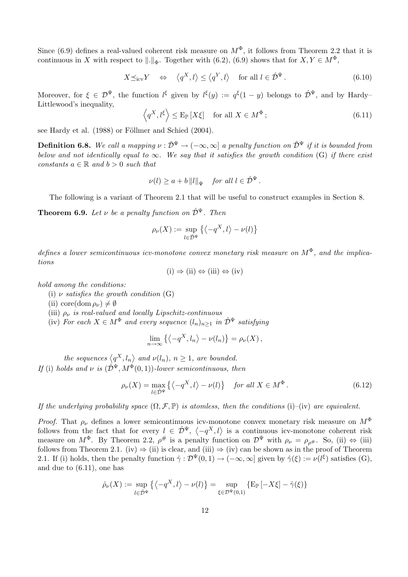Since (6.9) defines a real-valued coherent risk measure on  $M^{\Phi}$ , it follows from Theorem 2.2 that it is continuous in X with respect to  $\|.\|_{\Phi}$ . Together with (6.2), (6.9) shows that for  $X, Y \in M^{\Phi}$ ,

$$
X \preceq_{\text{icv}} Y \quad \Leftrightarrow \quad \left\langle q^X, l \right\rangle \le \left\langle q^Y, l \right\rangle \quad \text{for all } l \in \hat{\mathcal{D}}^{\Psi} \,. \tag{6.10}
$$

Moreover, for  $\xi \in \mathcal{D}^{\Psi}$ , the function  $l^{\xi}$  given by  $l^{\xi}(y) := q^{\xi}(1-y)$  belongs to  $\hat{\mathcal{D}}^{\Psi}$ , and by Hardy– Littlewood's inequality,  $\overline{a}$  $\mathbf{r}$ 

$$
\left\langle q^X, l^{\xi} \right\rangle \le \mathcal{E}_{\mathbb{P}} \left[ X \xi \right] \quad \text{for all } X \in M^{\Phi} \, ; \tag{6.11}
$$

see Hardy et al. (1988) or Föllmer and Schied (2004).

**Definition 6.8.** We call a mapping  $v : \hat{\mathcal{D}}^{\Psi} \to (-\infty, \infty]$  a penalty function on  $\hat{\mathcal{D}}^{\Psi}$  if it is bounded from below and not identically equal to  $\infty$ . We say that it satisfies the growth condition (G) if there exist constants  $a \in \mathbb{R}$  and  $b > 0$  such that

$$
\nu(l) \ge a + b ||l||_{\Psi} \quad \text{for all } l \in \hat{\mathcal{D}}^{\Psi}.
$$

The following is a variant of Theorem 2.1 that will be useful to construct examples in Section 8.

**Theorem 6.9.** Let  $\nu$  be a penalty function on  $\hat{\mathcal{D}}^{\Psi}$ . Then

$$
\rho_{\nu}(X) := \sup_{l \in \hat{\mathcal{D}}^{\Psi}} \left\{ \left\langle -q^X, l \right\rangle - \nu(l) \right\}
$$

defines a lower semicontinuous icv-monotone convex monetary risk measure on  $M^{\Phi}$ , and the implications

 $(i) \Rightarrow (ii) \Leftrightarrow (iii) \Leftrightarrow (iv)$ 

hold among the conditions:

- (i)  $\nu$  satisfies the growth condition (G)
- (ii) core(dom  $\rho_{\nu}$ )  $\neq \emptyset$
- (iii)  $\rho_{\nu}$  is real-valued and locally Lipschitz-continuous
- (iv) For each  $X \in M^{\Phi}$  and every sequence  $(l_n)_{n\geq 1}$  in  $\hat{\mathcal{D}}^{\Psi}$  satisfying

$$
\lim_{n \to \infty} \left\{ \left\langle -q^X, l_n \right\rangle - \nu(l_n) \right\} = \rho_{\nu}(X),
$$

the sequences  $\langle q^X, l_n \rangle$ and  $\nu(l_n)$ ,  $n \geq 1$ , are bounded. If (i) holds and  $\nu$  is  $(\hat{\mathcal{D}}^{\Psi}, M^{\Phi}(0, 1))$ -lower semicontinuous, then

$$
\rho_{\nu}(X) = \max_{l \in \hat{\mathcal{D}}^{\Psi}} \left\{ \left\langle -q^X, l \right\rangle - \nu(l) \right\} \quad \text{for all } X \in M^{\Phi} \,.
$$
 (6.12)

If the underlying probability space  $(\Omega, \mathcal{F}, \mathbb{P})$  is atomless, then the conditions (i)–(iv) are equivalent.

*Proof.* That  $\rho_{\nu}$  defines a lower semicontinuous icv-monotone convex monetary risk measure on  $M^{\Phi}$ *Froof.* That  $\rho_{\nu}$  defines a lower semicontinuous icv-monotone convex monetary risk measure on  $M$  follows from the fact that for every  $l \in \hat{\mathcal{D}}^{\Psi}$ ,  $\langle -q^X, l \rangle$  is a continuous icv-monotone coherent risk measure on  $M^{\Phi}$ . By Theorem 2.2,  $\rho^{\#}$  is a penalty function on  $\mathcal{D}^{\Psi}$  with  $\rho_{\nu} = \rho_{\rho^{\#}}$ . So, (ii)  $\Leftrightarrow$  (iii) follows from Theorem 2.1. (iv)  $\Rightarrow$  (ii) is clear, and (iii)  $\Rightarrow$  (iv) can be shown as in the proof of Theorem 2.1. If (i) holds, then the penalty function  $\hat{\gamma}: \mathcal{D}^{\Psi}(0,1) \to (-\infty,\infty]$  given by  $\hat{\gamma}(\xi) := \nu(l^{\xi})$  satisfies  $(G)$ , and due to (6.11), one has

$$
\hat{\rho}_{\nu}(X) := \sup_{l \in \hat{\mathcal{D}}^{\Psi}} \left\{ \left\langle -q^X, l \right\rangle - \nu(l) \right\} = \sup_{\xi \in \mathcal{D}^{\Psi}(0,1)} \left\{ \mathbf{E}_{\mathbb{P}} \left[ -X\xi \right] - \hat{\gamma}(\xi) \right\}
$$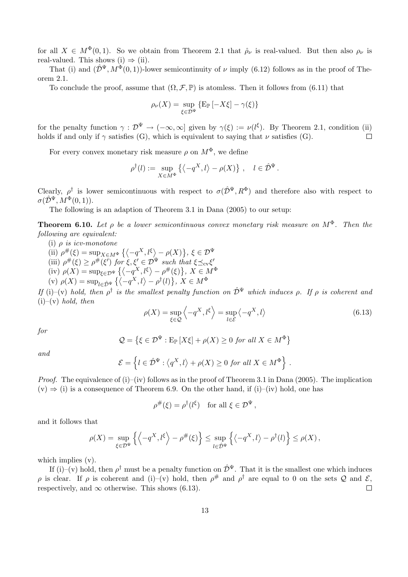for all  $X \in M^{\Phi}(0,1)$ . So we obtain from Theorem 2.1 that  $\rho_{\nu}$  is real-valued. But then also  $\rho_{\nu}$  is real-valued. This shows (i)  $\Rightarrow$  (ii).

That (i) and  $(\hat{\mathcal{D}}^{\Psi}, M^{\Phi}(0, 1))$ -lower semicontinuity of  $\nu$  imply (6.12) follows as in the proof of Theorem 2.1.

To conclude the proof, assume that  $(\Omega, \mathcal{F}, \mathbb{P})$  is atomless. Then it follows from (6.11) that

$$
\rho_{\nu}(X) = \sup_{\xi \in \mathcal{D}^{\Psi}} \left\{ \mathbf{E}_{\mathbb{P}} \left[ -X\xi \right] - \gamma(\xi) \right\}
$$

for the penalty function  $\gamma : \mathcal{D}^{\Psi} \to (-\infty, \infty]$  given by  $\gamma(\xi) := \nu(l^{\xi})$ . By Theorem 2.1, condition (ii) holds if and only if  $\gamma$  satisfies (G), which is equivalent to saying that  $\nu$  satisfies (G).  $\Box$ 

For every convex monetary risk measure  $\rho$  on  $M^{\Phi}$ , we define

$$
\rho^{\dagger}(l) := \sup_{X \in M^{\Phi}} \left\{ \left\langle -q^X, l \right\rangle - \rho(X) \right\}, \quad l \in \hat{\mathcal{D}}^{\Psi}.
$$

Clearly,  $\rho^{\dagger}$  is lower semicontinuous with respect to  $\sigma(\hat{\mathcal{D}}^{\Psi}, R^{\Phi})$  and therefore also with respect to  $\sigma(\hat{\mathcal{D}}^{\Psi}, M^{\Phi}(0, 1)).$ 

The following is an adaption of Theorem 3.1 in Dana (2005) to our setup:

**Theorem 6.10.** Let  $\rho$  be a lower semicontinuous convex monetary risk measure on  $M^{\Phi}$ . Then the following are equivalent:

- (i)  $\rho$  is icv-monotone
- (ii)  $\rho^{#}(\xi) = \sup_{X \in M^{\Phi}} \left\{ \left\langle -q^X, l^{\xi} \right\rangle \right\}$  $-\rho(X)$  $\}, \xi \in \mathcal{D}^{\Psi}$ (iii)  $\rho^{\#}(\xi) \geq \rho^{\#}(\xi^{\bar{\ell}})$  for  $\xi, \xi' \in \mathcal{D}^{\Psi}$  such that  $\xi \preceq_{\text{cv}} \xi'$ (iv)  $\rho''(\xi) \ge \rho''(\xi)$  for  $\xi, \xi \in L$ <br>(iv)  $\rho(X) = \sup_{\xi \in \mathcal{D}^{\Psi}} \left\{ \left\langle -q^X, l^{\xi} \right\rangle \right\}$  $- p^{\#}(\xi) \}, X \in M^{\Phi}$  $\{S, f, A \in I$ <br> $\}, X \in M^{\Phi}$
- (iv)  $p(X) = \sup_{\xi \in \mathcal{D}^{\Psi}} \{ \langle -q^X, l \rangle \rho^{\dagger}(l) \}$ <br>(v)  $p(X) = \sup_{\xi \in \mathcal{D}^{\Psi}} \{ \langle -q^X, l \rangle \rho^{\dagger}(l) \}$

If (i)–(v) hold, then  $\rho^{\dagger}$  is the smallest penalty function on  $\hat{\mathcal{D}}^{\Psi}$  which induces  $\rho$ . If  $\rho$  is coherent and  $(i)$ –(v) hold, then  $\overline{a}$ E

$$
\rho(X) = \sup_{\xi \in \mathcal{Q}} \left\langle -q^X, l^{\xi} \right\rangle = \sup_{l \in \mathcal{E}} \left\langle -q^X, l \right\rangle \tag{6.13}
$$

for

$$
\mathcal{Q} = \left\{ \xi \in \mathcal{D}^{\Psi} : \mathrm{E}_{\mathbb{P}} \left[ X \xi \right] + \rho(X) \ge 0 \text{ for all } X \in M^{\Phi} \right\}
$$

and

$$
\mathcal{E} = \left\{ l \in \hat{\mathcal{D}}^{\Psi} : \left\langle q^X, l \right\rangle + \rho(X) \ge 0 \text{ for all } X \in M^{\Phi} \right\}.
$$

*Proof.* The equivalence of (i)–(iv) follows as in the proof of Theorem 3.1 in Dana (2005). The implication  $(v) \Rightarrow (i)$  is a consequence of Theorem 6.9. On the other hand, if  $(i)$ –(iv) hold, one has

$$
\rho^{\#}(\xi) = \rho^{\dagger}(l^{\xi}) \quad \text{for all } \xi \in \mathcal{D}^{\Psi},
$$

and it follows that

$$
\rho(X) = \sup_{\xi \in \mathcal{D}^{\Psi}} \left\{ \left\langle -q^X, l^{\xi} \right\rangle - \rho^{\#}(\xi) \right\} \leq \sup_{l \in \hat{\mathcal{D}}^{\Psi}} \left\{ \left\langle -q^X, l \right\rangle - \rho^{\dagger}(l) \right\} \leq \rho(X) ,
$$

which implies  $(v)$ .

If (i)–(v) hold, then  $\rho^{\dagger}$  must be a penalty function on  $\hat{\mathcal{D}}^{\Psi}$ . That it is the smallest one which induces  $\rho$  is clear. If  $\rho$  is coherent and (i)–(v) hold, then  $\rho^{\#}$  and  $\rho^{\dagger}$  are equal to 0 on the sets Q and E, respectively, and  $\infty$  otherwise. This shows (6.13).  $\Box$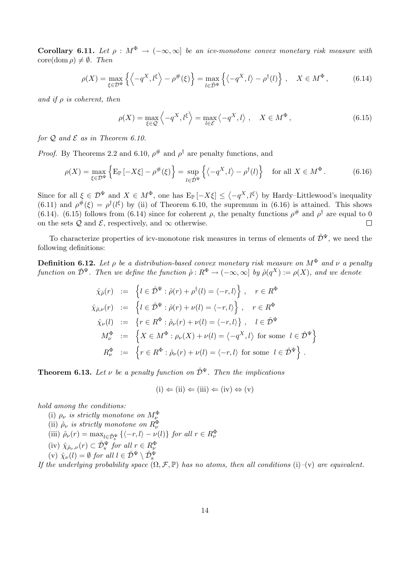Corollary 6.11. Let  $\rho : M^{\Phi} \to (-\infty, \infty]$  be an icv-monotone convex monetary risk measure with  $\text{core}(\text{dom }\rho) \neq \emptyset$ . Then

$$
\rho(X) = \max_{\xi \in \mathcal{D}^{\Psi}} \left\{ \left\langle -q^X, l^{\xi} \right\rangle - \rho^{\#}(\xi) \right\} = \max_{l \in \hat{\mathcal{D}}^{\Psi}} \left\{ \left\langle -q^X, l \right\rangle - \rho^{\dagger}(l) \right\}, \quad X \in M^{\Phi}, \tag{6.14}
$$

and if  $\rho$  is coherent, then

$$
\rho(X) = \max_{\xi \in \mathcal{Q}} \left\langle -q^X, l^{\xi} \right\rangle = \max_{l \in \mathcal{E}} \left\langle -q^X, l \right\rangle, \quad X \in M^{\Phi}, \tag{6.15}
$$

for  $Q$  and  $E$  as in Theorem 6.10.

*Proof.* By Theorems 2.2 and 6.10,  $\rho^{\#}$  and  $\rho^{\dagger}$  are penalty functions, and

$$
\rho(X) = \max_{\xi \in \mathcal{D}^{\Psi}} \left\{ \mathbb{E}_{\mathbb{P}} \left[ -X\xi \right] - \rho^{\#}(\xi) \right\} = \sup_{l \in \hat{\mathcal{D}}^{\Psi}} \left\{ \left\langle -q^X, l \right\rangle - \rho^{\dagger}(l) \right\} \quad \text{for all } X \in M^{\Phi}.
$$
 (6.16)

Since for all  $\xi \in \mathcal{D}^{\Psi}$  and  $X \in M^{\Phi}$ , one has  $E_{\mathbb{P}}[-X\xi] \leq \langle$  $-q^X, l^{\xi}$ by Hardy–Littlewood's inequality  $(6.11)$  and  $\rho^{\#}(\xi) = \rho^{\dagger}(\xi)$  by (ii) of Theorem 6.10, the supremum in (6.16) is attained. This shows (6.14). (6.15) follows from (6.14) since for coherent  $\rho$ , the penalty functions  $\rho^{\#}$  and  $\rho^{\dagger}$  are equal to 0 on the sets  $Q$  and  $E$ , respectively, and  $\infty$  otherwise.  $\Box$ 

To characterize properties of icv-monotone risk measures in terms of elements of  $\hat{\mathcal{D}}^{\Psi}$ , we need the following definitions:

**Definition 6.12.** Let  $\rho$  be a distribution-based convex monetary risk measure on  $M^{\Phi}$  and  $\nu$  a penalty function on  $\hat{\mathcal{D}}^{\Psi}$ . Then we define the function  $\hat{\rho}: R^{\Phi} \to (-\infty, \infty]$  by  $\hat{\rho}(q^X) := \rho(X)$ , and we denote

$$
\hat{\chi}_{\hat{\rho}}(r) := \left\{ l \in \hat{\mathcal{D}}^{\Psi} : \hat{\rho}(r) + \rho^{\dagger}(l) = \langle -r, l \rangle \right\}, \quad r \in R^{\Phi}
$$
\n
$$
\hat{\chi}_{\hat{\rho},\nu}(r) := \left\{ l \in \hat{\mathcal{D}}^{\Psi} : \hat{\rho}(r) + \nu(l) = \langle -r, l \rangle \right\}, \quad r \in R^{\Phi}
$$
\n
$$
\hat{\chi}_{\nu}(l) := \left\{ r \in R^{\Phi} : \hat{\rho}_{\nu}(r) + \nu(l) = \langle -r, l \rangle \right\}, \quad l \in \hat{\mathcal{D}}^{\Psi}
$$
\n
$$
M^{\Phi}_{\nu} := \left\{ X \in M^{\Phi} : \rho_{\nu}(X) + \nu(l) = \langle -q^X, l \rangle \text{ for some } l \in \hat{\mathcal{D}}^{\Psi} \right\}
$$
\n
$$
R^{\Phi}_{\nu} := \left\{ r \in R^{\Phi} : \hat{\rho}_{\nu}(r) + \nu(l) = \langle -r, l \rangle \text{ for some } l \in \hat{\mathcal{D}}^{\Psi} \right\}.
$$

**Theorem 6.13.** Let  $\nu$  be a penalty function on  $\hat{\mathcal{D}}^{\Psi}$ . Then the implications

$$
(i) \Leftarrow (ii) \Leftarrow (iii) \Leftarrow (iv) \Leftrightarrow (v)
$$

hold among the conditions:

(i)  $\rho_{\nu}$  is strictly monotone on  $M_{\nu}^{\Phi}$ <br>(ii)  $\hat{\rho}_{\nu}$  is strictly monotone on  $R_{\nu}^{\Phi}$ (iii)  $\hat{\rho}_{\nu}(r) = \max_{l \in \hat{\mathcal{D}}_{\mathcal{S}}^{\Psi}} \{ \langle -r, l \rangle - \nu(l) \}$  for all  $r \in R_{\nu}^{\Phi}$ (iv)  $\hat{\chi}_{\hat{\rho}_\nu,\nu}(r) \subset \hat{\mathcal{D}}_s^{\Psi}$  for all  $r \in R_{\nu}^{\Phi}$ (v)  $\hat{\chi}_{\nu}(l) = \emptyset$  for all  $l \in \hat{\mathcal{D}}^{\Psi} \setminus \hat{\mathcal{D}}_{\mathrm{s}}^{\Psi}$ 

If the underlying probability space  $(\Omega, \mathcal{F}, \mathbb{P})$  has no atoms, then all conditions (i)–(v) are equivalent.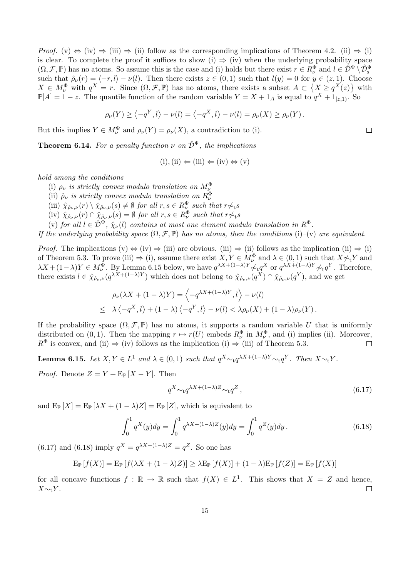*Proof.* (v)  $\Leftrightarrow$  (iv)  $\Rightarrow$  (iii)  $\Rightarrow$  (ii) follow as the corresponding implications of Theorem 4.2. (ii)  $\Rightarrow$  (i) is clear. To complete the proof it suffices to show (i)  $\Rightarrow$  (iv) when the underlying probability space  $(\Omega, \mathcal{F}, \mathbb{P})$  has no atoms. So assume this is the case and (i) holds but there exist  $r \in R_{\nu}^{\Phi}$  and  $l \in \mathcal{D}^{\Psi} \setminus \mathcal{D}_{s}^{\Psi}$ such that  $\hat{\rho}_{\nu}(r) = \langle -r, l \rangle - \nu(l)$ . Then there exists  $z \in (0, 1)$  such that  $l(y) = 0$  for  $y \in (z, 1)$ . Choose  $X \in M_{\nu}^{\Phi}$  with  $q^X = r$ . Since  $(\Omega, \mathcal{F}, \mathbb{P})$  has no atoms, there exists a subset  $A \subset \{X \geq q^X(z)\}\$  with  $\mathbb{P}[A] = 1 - z$ . The quantile function of the random variable  $Y = X + 1_A$  is equal to  $q^X + 1_{[z,1)}$ . So

$$
\rho_{\nu}(Y) \ge \left\langle -q^Y, l \right\rangle - \nu(l) = \left\langle -q^X, l \right\rangle - \nu(l) = \rho_{\nu}(X) \ge \rho_{\nu}(Y).
$$

But this implies  $Y \in M_{\nu}^{\Phi}$  and  $\rho_{\nu}(Y) = \rho_{\nu}(X)$ , a contradiction to (i).

**Theorem 6.14.** For a penalty function  $\nu$  on  $\hat{\mathcal{D}}^{\Psi}$ , the implications

$$
(i), (ii) \Leftarrow (iii) \Leftarrow (iv) \Leftrightarrow (v)
$$

hold among the conditions

- (i)  $\rho_{\nu}$  is strictly convex modulo translation on  $M_{\nu}^{\Phi}$
- (ii)  $\hat{\rho}_{\nu}$  is strictly convex modulo translation on  $R_{\nu}^{\Phi}$
- (iii)  $\hat{\chi}_{\hat{\rho}_\nu,\nu}(r) \setminus \hat{\chi}_{\hat{\rho}_\nu,\nu}(s) \neq \emptyset$  for all  $r, s \in R_\nu^{\Phi}$  such that  $r \not\sim_t s$
- (iv)  $\hat{\chi}_{\hat{\rho}_\nu,\nu}(r) \cap \hat{\chi}_{\hat{\rho}_\nu,\nu}(s) = \emptyset$  for all  $r, s \in R_\nu^{\Phi}$  such that  $r \not\sim_t s$
- (v) for all  $l \in \hat{\mathcal{D}}^{\Psi}$ ,  $\hat{\chi}_{\nu}(l)$  contains at most one element modulo translation in  $R^{\Phi}$ .

If the underlying probability space  $(\Omega, \mathcal{F}, \mathbb{P})$  has no atoms, then the conditions (i)–(v) are equivalent.

*Proof.* The implications  $(v) \Leftrightarrow (iv) \Rightarrow (iii)$  are obvious. (iii)  $\Rightarrow$  (ii) follows as the implication (ii)  $\Rightarrow$  (i) of Theorem 5.3. To prove (iii)  $\Rightarrow$  (i), assume there exist  $X, Y \in M_{\nu}^{\Phi}$  and  $\lambda \in (0, 1)$  such that  $X \not\sim_t Y$  and  $\lambda X + (1 - \lambda)Y \in M_{\nu}^{\Phi}$ . By Lemma 6.15 below, we have  $q^{\lambda X + (1 - \lambda)Y} \nless \eta Y$  or  $q^{\lambda X + (1 - \lambda)Y} \nless \eta Y$ . Therefore, there exists  $l \in \hat{\chi}_{\hat{\rho}_\nu,\nu}(q^{\lambda X + (1-\lambda)Y})$  which does not belong to  $\hat{\chi}_{\hat{\rho}_\nu,\nu}(q^X) \cap \hat{\chi}_{\hat{\rho}_\nu,\nu}(q^Y)$ , and we get

$$
\rho_{\nu}(\lambda X + (1 - \lambda)Y) = \left\langle -q^{\lambda X + (1 - \lambda)Y}, l \right\rangle - \nu(l)
$$
  
 
$$
\leq \lambda \left\langle -q^X, l \right\rangle + (1 - \lambda) \left\langle -q^Y, l \right\rangle - \nu(l) < \lambda \rho_{\nu}(X) + (1 - \lambda) \rho_{\nu}(Y).
$$

If the probability space  $(\Omega, \mathcal{F}, \mathbb{P})$  has no atoms, it supports a random variable U that is uniformly distributed on  $(0, 1)$ . Then the mapping  $r \mapsto r(U)$  embeds  $R^{\Phi}_{\nu}$  in  $M^{\Phi}_{\nu}$ , and (i) implies (ii). Moreover,  $R^{\Phi}$  is convex, and (ii)  $\Rightarrow$  (iv) follows as the implication (i)  $\Rightarrow$  (iii) of Theorem 5.3.  $\Box$ 

**Lemma 6.15.** Let  $X, Y \in L^1$  and  $\lambda \in (0,1)$  such that  $q^X \sim_t q^{\lambda X + (1-\lambda)Y} \sim_t q^Y$ . Then  $X \sim_t Y$ .

*Proof.* Denote  $Z = Y + \mathbb{E}_{\mathbb{P}}[X - Y]$ . Then

$$
q^X \sim \t q^{\lambda X + (1-\lambda)Z} \sim \t q^Z \t , \t (6.17)
$$

and  $E_{\mathbb{P}}[X] = E_{\mathbb{P}}[\lambda X + (1 - \lambda)Z] = E_{\mathbb{P}}[Z]$ , which is equivalent to

$$
\int_0^1 q^X(y) dy = \int_0^1 q^{\lambda X + (1-\lambda)Z}(y) dy = \int_0^1 q^Z(y) dy.
$$
 (6.18)

 $(6.17)$  and  $(6.18)$  imply  $q^X = q^{\lambda X + (1-\lambda)Z} = q^Z$ . So one has

$$
\mathrm{E}_{\mathbb{P}}\left[f(X)\right] = \mathrm{E}_{\mathbb{P}}\left[f(\lambda X + (1-\lambda)Z)\right] \geq \lambda \mathrm{E}_{\mathbb{P}}\left[f(X)\right] + (1-\lambda)\mathrm{E}_{\mathbb{P}}\left[f(Z)\right] = \mathrm{E}_{\mathbb{P}}\left[f(X)\right]
$$

for all concave functions  $f : \mathbb{R} \to \mathbb{R}$  such that  $f(X) \in L^1$ . This shows that  $X = Z$  and hence,  $X\sim_t Y$ .  $\Box$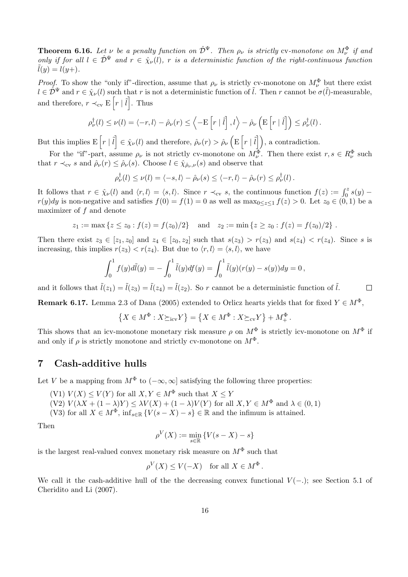**Theorem 6.16.** Let  $\nu$  be a penalty function on  $\hat{\mathcal{D}}^{\Psi}$ . Then  $\rho_{\nu}$  is strictly cv-monotone on  $M_{\nu}^{\Phi}$  if and only if for all  $l \in \hat{\mathcal{D}}^{\Psi}$  and  $r \in \hat{\chi}_{\nu}(l)$ , r is a deterministic function of the right-continuous function  $\tilde{l}(y) = l(y+).$ 

*Proof.* To show the "only if"-direction, assume that  $\rho_{\nu}$  is strictly cv-monotone on  $M_{\nu}^{\Phi}$  but there exist  $l \in \hat{\mathcal{D}}^{\Psi}$  and  $r \in \hat{\chi}_{\nu}(l)$  such that r is not a deterministic function of  $\tilde{l}$ . Then r cannot be  $\sigma(\tilde{l})$ -measurable, and therefore,  $r \prec_{\text{cv}} E\left[r \mid \tilde{l}\right]$ . Thus

$$
\rho^{\dagger}_{\nu}(l) \leq \nu(l) = \langle -r, l \rangle - \hat{\rho}_{\nu}(r) \leq \left\langle -\mathcal{E}\left[r \mid \tilde{l}\right], l\right\rangle - \hat{\rho}_{\nu}\left(\mathcal{E}\left[r \mid \tilde{l}\right]\right) \leq \rho^{\dagger}_{\nu}(l).
$$

But this implies E  $\lceil r \rceil \tilde{l}$  $\in \hat{\chi}_{\nu}(l)$  and therefore,  $\hat{\rho}_{\nu}(r) > \hat{\rho}_{\nu}$ E  $r \mid \tilde{l}$ , a contradiction.

For the "if"-part, assume  $\rho_{\nu}$  is not strictly cv-monotone on  $M_{\nu}^{\Phi}$ . Then there exist  $r, s \in R_{\nu}^{\Phi}$  such that  $r \prec_{\text{cv}} s$  and  $\rho_{\nu}(r) \leq \rho_{\nu}(s)$ . Choose  $l \in \hat{\chi}_{\hat{\rho}_{\nu},\nu}(s)$  and observe that

$$
\rho^{\dagger}_{\nu}(l) \leq \nu(l) = \langle -s, l \rangle - \hat{\rho}_{\nu}(s) \leq \langle -r, l \rangle - \hat{\rho}_{\nu}(r) \leq \rho^{\dagger}_{\nu}(l).
$$

It follows that  $r \in \hat{\chi}_{\nu}(l)$  and  $\langle r, l \rangle = \langle s, l \rangle$ . Since  $r \prec_{\text{cv}} s$ , the continuous function  $f(z) := \int_0^z s(y)$  $r(y)dy$  is non-negative and satisfies  $f(0) = f(1) = 0$  as well as  $\max_{0 \leq z \leq 1} f(z) > 0$ . Let  $z_0 \in (0, 1)$  be a maximizer of  $f$  and denote

$$
z_1 := \max \{ z \le z_0 : f(z) = f(z_0)/2 \}
$$
 and  $z_2 := \min \{ z \ge z_0 : f(z) = f(z_0)/2 \}$ .

Then there exist  $z_3 \in [z_1, z_0]$  and  $z_4 \in [z_0, z_2]$  such that  $s(z_3) > r(z_3)$  and  $s(z_4) < r(z_4)$ . Since s is increasing, this implies  $r(z_3) < r(z_4)$ . But due to  $\langle r, l \rangle = \langle s, l \rangle$ , we have

$$
\int_0^1 f(y)d\tilde{l}(y) = -\int_0^1 \tilde{l}(y)df(y) = \int_0^1 \tilde{l}(y)(r(y) - s(y))dy = 0,
$$

and it follows that  $\tilde{l}(z_1) = \tilde{l}(z_3) = \tilde{l}(z_4) = \tilde{l}(z_2)$ . So r cannot be a deterministic function of  $\tilde{l}$ .  $\Box$ 

**Remark 6.17.** Lemma 2.3 of Dana (2005) extended to Orlicz hearts yields that for fixed  $Y \in M^{\Phi}$ ,

$$
\left\{X \in M^{\Phi}: X \succeq_{\text{icv}} Y\right\} = \left\{X \in M^{\Phi}: X \succeq_{\text{cv}} Y\right\} + M^{\Phi}_+.
$$

This shows that an icv-monotone monetary risk measure  $\rho$  on  $M^{\Phi}$  is strictly icv-monotone on  $M^{\Phi}$  if and only if  $\rho$  is strictly monotone and strictly cv-monotone on  $M^{\Phi}$ .

# 7 Cash-additive hulls

Let V be a mapping from  $M^{\Phi}$  to  $(-\infty, \infty]$  satisfying the following three properties:

- (V1)  $V(X) \leq V(Y)$  for all  $X, Y \in M^{\Phi}$  such that  $X \leq Y$
- $(V2)V(\lambda X + (1 \lambda)Y) \leq \lambda V(X) + (1 \lambda)V(Y)$  for all  $X, Y \in M^{\Phi}$  and  $\lambda \in (0, 1)$

(V3) for all  $X \in M^{\Phi}$ ,  $\inf_{s \in \mathbb{R}} {\{\hat{V}(s - X) - s\}} \in \mathbb{R}$  and the infimum is attained.

Then

$$
\rho^V(X) := \min_{s \in \mathbb{R}} \left\{ V(s - X) - s \right\}
$$

is the largest real-valued convex monetary risk measure on  $M^{\Phi}$  such that

$$
\rho^V(X) \le V(-X) \quad \text{for all } X \in M^{\Phi}.
$$

We call it the cash-additive hull of the the decreasing convex functional  $V(-)$ ; see Section 5.1 of Cheridito and Li (2007).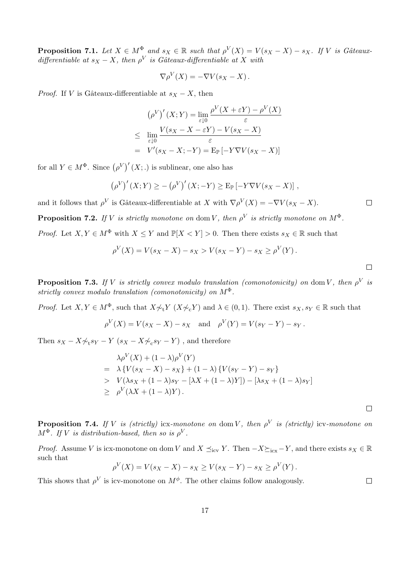**Proposition 7.1.** Let  $X \in M^{\Phi}$  and  $s_X \in \mathbb{R}$  such that  $\rho^V(X) = V(s_X - X) - s_X$ . If V is Gâteauxdifferentiable at  $s_X - X$ , then  $\rho^V$  is Gâteaux-differentiable at X with

$$
\nabla \rho^V(X) = -\nabla V(s_X - X).
$$

*Proof.* If V is Gâteaux-differentiable at  $s_X - X$ , then

$$
(\rho^V)'(X;Y) = \lim_{\varepsilon \downarrow 0} \frac{\rho^V(X + \varepsilon Y) - \rho^V(X)}{\varepsilon}
$$
  

$$
\leq \lim_{\varepsilon \downarrow 0} \frac{V(s_X - X - \varepsilon Y) - V(s_X - X)}{\varepsilon}
$$
  

$$
= V'(s_X - X; -Y) = \text{E}_{\mathbb{P}}\left[-Y\nabla V(s_X - X)\right]
$$

for all  $Y \in M^{\Phi}$ . Since  $(\rho^V)'(X;.)$  is sublinear, one also has

$$
(\rho^V)'(X;Y) \ge -(\rho^V)'(X;-Y) \ge \mathbb{E}_{\mathbb{P}}[-Y\nabla V(s_X - X)],
$$

and it follows that  $\rho^V$  is Gâteaux-differentiable at X with  $\nabla \rho^V(X) = -\nabla V(s_X - X)$ .

**Proposition 7.2.** If V is strictly monotone on dom V, then  $\rho^V$  is strictly monotone on  $M^{\Phi}$ .

*Proof.* Let  $X, Y \in M^{\Phi}$  with  $X \leq Y$  and  $\mathbb{P}[X < Y] > 0$ . Then there exists  $s_X \in \mathbb{R}$  such that

$$
\rho^V(X) = V(s_X - X) - s_X > V(s_X - Y) - s_X \ge \rho^V(Y).
$$

**Proposition 7.3.** If V is strictly convex modulo translation (comonotonicity) on dom V, then  $\rho^V$  is strictly convex modulo translation (comonotonicity) on  $M^{\Phi}$ .

*Proof.* Let  $X, Y \in M^{\Phi}$ , such that  $X \not\sim_t Y (X \not\sim_t Y)$  and  $\lambda \in (0, 1)$ . There exist  $s_X, s_Y \in \mathbb{R}$  such that

$$
\rho^V(X) = V(s_X - X) - s_X
$$
 and  $\rho^V(Y) = V(s_Y - Y) - s_Y$ .

Then  $s_X - X \not\sim_{\mathbf{t}} s_Y - Y$   $(s_X - X \not\sim_{\mathbf{c}} s_Y - Y)$ , and therefore

$$
\lambda \rho^V(X) + (1 - \lambda)\rho^V(Y)
$$
  
=  $\lambda \{V(s_X - X) - s_X\} + (1 - \lambda)\{V(s_Y - Y) - s_Y\}$   
>  $V(\lambda s_X + (1 - \lambda)s_Y - [\lambda X + (1 - \lambda)Y]) - [\lambda s_X + (1 - \lambda)s_Y]$   
 $\geq \rho^V(\lambda X + (1 - \lambda)Y).$ 

 $\Box$ 

 $\Box$ 

**Proposition 7.4.** If V is (strictly) icx-monotone on dom V, then  $\rho^V$  is (strictly) icv-monotone on  $M^{\Phi}$ . If V is distribution-based, then so is  $\rho^{V}$ .

*Proof.* Assume V is icx-monotone on dom V and  $X \preceq_{\text{icv}} Y$ . Then  $-X\succeq_{\text{icx}} Y$ , and there exists  $s_X \in \mathbb{R}$ such that

$$
\rho^V(X) = V(s_X - X) - s_X \ge V(s_X - Y) - s_X \ge \rho^V(Y).
$$

This shows that  $\rho^V$  is icv-monotone on  $M^{\phi}$ . The other claims follow analogously.

 $\Box$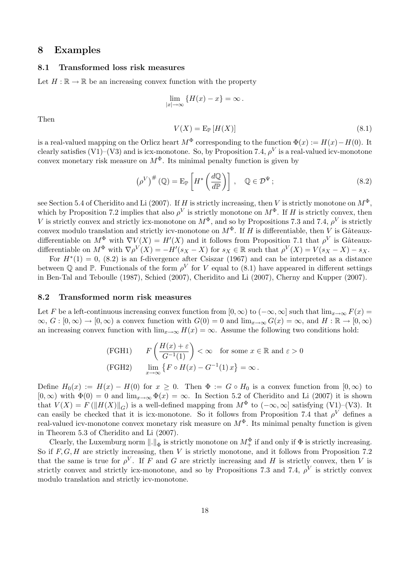### 8 Examples

#### 8.1 Transformed loss risk measures

Let  $H : \mathbb{R} \to \mathbb{R}$  be an increasing convex function with the property

$$
\lim_{|x| \to \infty} \{H(x) - x\} = \infty.
$$

Then

$$
V(X) = \mathcal{E}_{\mathbb{P}}[H(X)]\tag{8.1}
$$

is a real-valued mapping on the Orlicz heart  $M^{\Phi}$  corresponding to the function  $\Phi(x) := H(x) - H(0)$ . It clearly satisfies (V1)–(V3) and is icx-monotone. So, by Proposition 7.4,  $\rho^V$  is a real-valued icv-monotone convex monetary risk measure on  $M^{\Phi}$ . Its minimal penalty function is given by

$$
\left(\rho^{V}\right)^{\#}(\mathbb{Q}) = \mathrm{E}_{\mathbb{P}}\left[H^{*}\left(\frac{d\mathbb{Q}}{d\mathbb{P}}\right)\right], \quad \mathbb{Q} \in \mathcal{D}^{\Psi};\tag{8.2}
$$

see Section 5.4 of Cheridito and Li (2007). If H is strictly increasing, then V is strictly monotone on  $M^{\Phi}$ , which by Proposition 7.2 implies that also  $\rho^V$  is strictly monotone on  $M^{\Phi}$ . If H is strictly convex, then V is strictly convex and strictly icx-monotone on  $M^{\Phi}$ , and so by Propositions 7.3 and 7.4,  $\rho^V$  is strictly convex modulo translation and strictly icv-monotone on  $M^{\Phi}$ . If H is differentiable, then V is Gâteauxdifferentiable on  $M^{\Phi}$  with  $\nabla V(X) = H'(X)$  and it follows from Proposition 7.1 that  $\rho^V$  is Gâteauxdifferentiable on  $M^{\Phi}$  with  $\nabla \rho^V(X) = -H'(s_X - X)$  for  $s_X \in \mathbb{R}$  such that  $\rho^V(X) = V(s_X - X) - s_X$ .

For  $H^*(1) = 0$ , (8.2) is an f-divergence after Csiszar (1967) and can be interpreted as a distance between Q and P. Functionals of the form  $\rho^V$  for V equal to (8.1) have appeared in different settings in Ben-Tal and Teboulle (1987), Schied (2007), Cheridito and Li (2007), Cherny and Kupper (2007).

#### 8.2 Transformed norm risk measures

Let F be a left-continuous increasing convex function from  $[0, \infty)$  to  $(-\infty, \infty]$  such that  $\lim_{x\to\infty} F(x) =$  $\infty, G : [0, \infty) \to [0, \infty)$  a convex function with  $G(0) = 0$  and  $\lim_{x \to \infty} G(x) = \infty$ , and  $H : \mathbb{R} \to [0, \infty)$ an increasing convex function with  $\lim_{x\to\infty} H(x) = \infty$ . Assume the following two conditions hold:

(FGH1) 
$$
F\left(\frac{H(x) + \varepsilon}{G^{-1}(1)}\right) < \infty
$$
 for some  $x \in \mathbb{R}$  and  $\varepsilon > 0$   
(FGH2)  $\lim_{x \to \infty} \{ F \circ H(x) - G^{-1}(1) x \} = \infty$ .

Define  $H_0(x) := H(x) - H(0)$  for  $x \ge 0$ . Then  $\Phi := G \circ H_0$  is a convex function from  $[0, \infty)$  to  $[0, \infty)$  with  $\Phi(0) = 0$  and  $\lim_{x\to\infty} \Phi(x) = \infty$ . In Section 5.2 of Cheridito and Li (2007) it is shown that  $V(X) = F(||H(X)||_G)$  is a well-defined mapping from  $M^{\Phi}$  to  $(-\infty, \infty]$  satisfying (V1)–(V3). It can easily be checked that it is icx-monotone. So it follows from Proposition 7.4 that  $\rho^V$  defines a real-valued icv-monotone convex monetary risk measure on  $M^{\Phi}$ . Its minimal penalty function is given in Theorem 5.3 of Cheridito and Li (2007).

Clearly, the Luxemburg norm  $\|.\|_{\Phi}$  is strictly monotone on  $M^{\Phi}_+$  if and only if  $\Phi$  is strictly increasing. So if  $F, G, H$  are strictly increasing, then V is strictly monotone, and it follows from Proposition 7.2 that the same is true for  $\rho^V$ . If F and G are strictly increasing and H is strictly convex, then V is strictly convex and strictly icx-monotone, and so by Propositions 7.3 and 7.4,  $\rho^V$  is strictly convex modulo translation and strictly icv-monotone.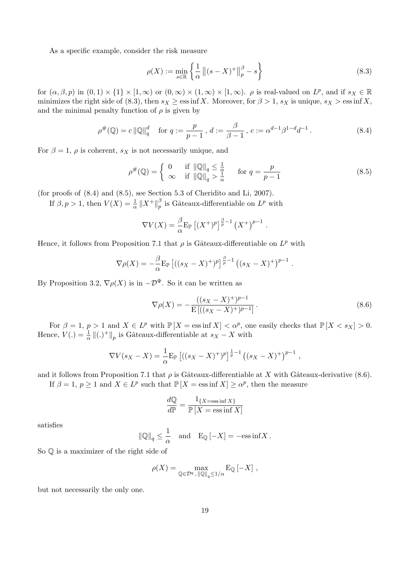As a specific example, consider the risk measure

$$
\rho(X) := \min_{s \in \mathbb{R}} \left\{ \frac{1}{\alpha} \left\| (s - X)^+ \right\|_p^{\beta} - s \right\} \tag{8.3}
$$

for  $(\alpha, \beta, p)$  in  $(0, 1) \times \{1\} \times [1, \infty)$  or  $(0, \infty) \times (1, \infty) \times [1, \infty)$ .  $\rho$  is real-valued on  $L^p$ , and if  $s_X \in \mathbb{R}$ minimizes the right side of (8.3), then  $s_X \ge \text{ess inf } X$ . Moreover, for  $\beta > 1$ ,  $s_X$  is unique,  $s_X > \text{ess inf } X$ , and the minimal penalty function of  $\rho$  is given by

$$
\rho^{\#}(\mathbb{Q}) = c \|\mathbb{Q}\|_{q}^{d} \quad \text{for } q := \frac{p}{p-1}, \, d := \frac{\beta}{\beta - 1}, \, c := \alpha^{d-1} \beta^{1-d} d^{-1} \,. \tag{8.4}
$$

For  $\beta = 1$ ,  $\rho$  is coherent,  $s_X$  is not necessarily unique, and

$$
\rho^{\#}(\mathbb{Q}) = \begin{cases} 0 & \text{if } \|\mathbb{Q}\|_{q} \le \frac{1}{\alpha} \\ \infty & \text{if } \|\mathbb{Q}\|_{q} > \frac{1}{\alpha} \end{cases} \quad \text{for } q = \frac{p}{p-1}
$$
 (8.5)

(for proofs of (8.4) and (8.5), see Section 5.3 of Cheridito and Li, 2007).

If  $\beta, p > 1$ , then  $V(X) = \frac{1}{\alpha} ||X^+||_p^{\beta}$  $_p^{\beta}$  is Gâteaux-differentiable on  $L^p$  with

$$
\nabla V(X) = \frac{\beta}{\alpha} \mathbb{E}_{\mathbb{P}} \left[ (X^+)^p \right]^{\frac{\beta}{p}-1} (X^+)^{p-1}.
$$

Hence, it follows from Proposition 7.1 that  $\rho$  is Gâteaux-differentiable on  $L^p$  with

$$
\nabla \rho(X) = -\frac{\beta}{\alpha} \mathbb{E}_{\mathbb{P}} \left[ ((s_X - X)^+)^p \right]^{\frac{\beta}{p}-1} ((s_X - X)^+)^{p-1} .
$$

By Proposition 3.2,  $\nabla \rho(X)$  is in  $-\mathcal{D}^{\Psi}$ . So it can be written as

$$
\nabla \rho(X) = -\frac{((s_X - X)^+)^{p-1}}{\mathcal{E}\left[((s_X - X)^+)^{p-1}\right]}.
$$
\n(8.6)

For  $\beta = 1$ ,  $p > 1$  and  $X \in L^p$  with  $\mathbb{P}[X = \text{ess inf } X] < \alpha^p$ , one easily checks that  $\mathbb{P}[X \le s_X] > 0$ . Hence,  $V(.) = \frac{1}{\alpha} ||(.)^+||_p$  is Gâteaux-differentiable at  $s_X - X$  with

$$
\nabla V(s_X - X) = \frac{1}{\alpha} \mathbb{E}_{\mathbb{P}} \left[ ((s_X - X)^+)^p \right]^{\frac{1}{p}-1} ((s_X - X)^+)^{p-1} ,
$$

and it follows from Proposition 7.1 that  $\rho$  is Gâteaux-differentiable at X with Gâteaux-derivative (8.6).

If  $\beta = 1, p \ge 1$  and  $X \in L^p$  such that  $\mathbb{P}[X = \text{ess inf } X] \ge \alpha^p$ , then the measure

$$
\frac{dQ}{dP} = \frac{1_{\{X = \text{ess inf } X\}}}{P[X = \text{ess inf } X]}
$$

satisfies

$$
\|\mathbb{Q}\|_q \le \frac{1}{\alpha} \quad \text{and} \quad \mathcal{E}_{\mathbb{Q}}\left[-X\right] = -\text{ess}\inf X \,.
$$

So Q is a maximizer of the right side of

$$
\rho(X) = \max_{\mathbb{Q} \in \mathcal{D}^q, \|\mathbb{Q}\|_q \le 1/\alpha} \mathcal{E}_{\mathbb{Q}}[-X],
$$

but not necessarily the only one.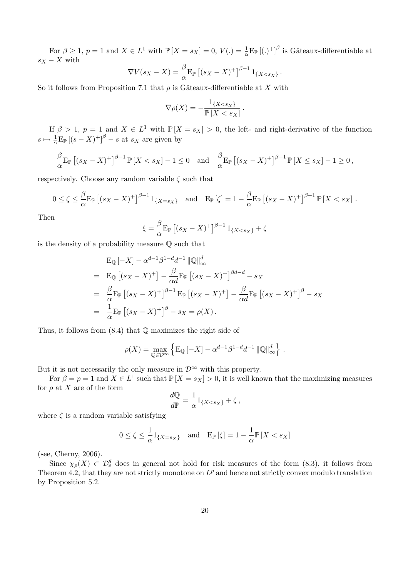For  $\beta \geq 1$ ,  $p = 1$  and  $X \in L^1$  with  $\mathbb{P}[X = s_X] = 0$ ,  $V(.) = \frac{1}{\alpha} E_{\mathbb{P}}[(.)^+]^{\beta}$  is Gâteaux-differentiable at  $s_X - X$  with

$$
\nabla V(s_X - X) = \frac{\beta}{\alpha} \mathbb{E}_{\mathbb{P}} \left[ (s_X - X)^+ \right]^{\beta - 1} 1_{\{X < s_X\}}.
$$

So it follows from Proposition 7.1 that  $\rho$  is Gâteaux-differentiable at X with

$$
\nabla \rho(X) = -\frac{1_{\{X < s_X\}}}{\mathbb{P}\left[X < s_X\right]}.
$$

If  $\beta > 1$ ,  $p = 1$  and  $X \in L^1$  with  $\mathbb{P}[X = s_X] > 0$ , the left- and right-derivative of the function  $s \mapsto \frac{1}{\alpha} \mathbb{E}_{\mathbb{P}} \left[ (s - X)^+ \right]^{\beta} - s$  at  $s_X$  are given by

$$
\frac{\beta}{\alpha} \mathbb{E}_{\mathbb{P}} \left[ (s_X - X)^+ \right]^{\beta - 1} \mathbb{P} \left[ X < s_X \right] - 1 \le 0 \quad \text{and} \quad \frac{\beta}{\alpha} \mathbb{E}_{\mathbb{P}} \left[ (s_X - X)^+ \right]^{\beta - 1} \mathbb{P} \left[ X \le s_X \right] - 1 \ge 0 \,,
$$

respectively. Choose any random variable  $\zeta$  such that

$$
0 \le \zeta \le \frac{\beta}{\alpha} \mathbb{E}_{\mathbb{P}} \left[ (s_X - X)^+ \right]^{\beta - 1} 1_{\{X = s_X\}} \quad \text{and} \quad \mathbb{E}_{\mathbb{P}} \left[ \zeta \right] = 1 - \frac{\beta}{\alpha} \mathbb{E}_{\mathbb{P}} \left[ (s_X - X)^+ \right]^{\beta - 1} \mathbb{P} \left[ X < s_X \right].
$$

Then

$$
\xi = \frac{\beta}{\alpha} \mathbb{E}_{\mathbb{P}} \left[ (s_X - X)^+ \right]^{\beta - 1} 1_{\{X < s_X\}} + \zeta
$$

is the density of a probability measure Q such that

$$
E_{\mathbb{Q}}[-X] - \alpha^{d-1}\beta^{1-d}d^{-1} \|\mathbb{Q}\|_{\infty}^{d}
$$
  
= 
$$
E_{\mathbb{Q}}[(s_X - X)^+] - \frac{\beta}{\alpha d}E_{\mathbb{P}}[(s_X - X)^+]^{\beta d - d} - s_X
$$
  
= 
$$
\frac{\beta}{\alpha}E_{\mathbb{P}}[(s_X - X)^+]^{\beta - 1}E_{\mathbb{P}}[(s_X - X)^+] - \frac{\beta}{\alpha d}E_{\mathbb{P}}[(s_X - X)^+]^{\beta} - s_X
$$
  
= 
$$
\frac{1}{\alpha}E_{\mathbb{P}}[(s_X - X)^+]^{\beta} - s_X = \rho(X).
$$

Thus, it follows from  $(8.4)$  that  $\mathbb Q$  maximizes the right side of

$$
\rho(X) = \max_{\mathbb{Q} \in \mathcal{D}^{\infty}} \left\{ \mathbb{E}_{\mathbb{Q}} \left[ -X \right] - \alpha^{d-1} \beta^{1-d} d^{-1} \left\| \mathbb{Q} \right\|_{\infty}^d \right\}.
$$

But it is not necessarily the only measure in  $\mathcal{D}^{\infty}$  with this property.

For  $\beta = p = 1$  and  $X \in L^1$  such that  $\mathbb{P}[X = s_X] > 0$ , it is well known that the maximizing measures for  $\rho$  at X are of the form

$$
\frac{d\mathbb{Q}}{d\mathbb{P}} = \frac{1}{\alpha} 1_{\{X < s_X\}} + \zeta \,,
$$

where  $\zeta$  is a random variable satisfying

$$
0\leq \zeta\leq \frac{1}{\alpha}1_{\{X=s_X\}}\quad \text{and}\quad {\mathrm{E}}_{\mathbb{P}}\left[\zeta\right]=1-\frac{1}{\alpha}\mathbb{P}\left[X
$$

(see, Cherny, 2006).

Since  $\chi_{\rho}(X) \subset \mathcal{D}_{s}^{q}$  does in general not hold for risk measures of the form (8.3), it follows from Theorem 4.2, that they are not strictly monotone on  $L^p$  and hence not strictly convex modulo translation by Proposition 5.2.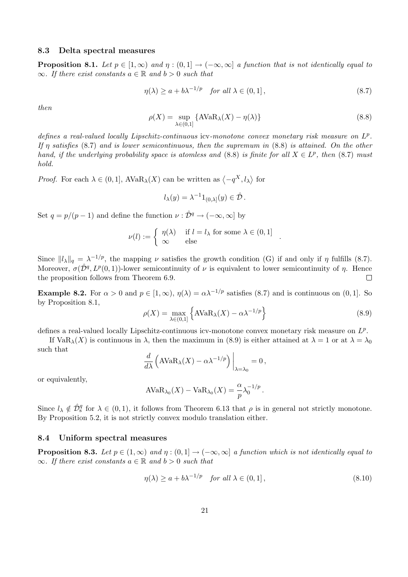### 8.3 Delta spectral measures

**Proposition 8.1.** Let  $p \in [1,\infty)$  and  $\eta : (0,1] \to (-\infty,\infty]$  a function that is not identically equal to  $\infty$ . If there exist constants  $a \in \mathbb{R}$  and  $b > 0$  such that

$$
\eta(\lambda) \ge a + b\lambda^{-1/p} \quad \text{for all } \lambda \in (0, 1], \tag{8.7}
$$

then

$$
\rho(X) = \sup_{\lambda \in (0,1]} \{ \text{AVaR}_{\lambda}(X) - \eta(\lambda) \}
$$
\n(8.8)

defines a real-valued locally Lipschitz-continuous icv-monotone convex monetary risk measure on  $L^p$ . If  $\eta$  satisfies (8.7) and is lower semicontinuous, then the supremum in (8.8) is attained. On the other hand, if the underlying probability space is atomless and (8.8) is finite for all  $X \in L^p$ , then (8.7) must hold.

*Proof.* For each  $\lambda \in (0, 1]$ ,  $AVaR_{\lambda}(X)$  can be written as  $\langle -q^X, l_{\lambda} \rangle$ for

$$
l_{\lambda}(y) = \lambda^{-1} 1_{(0,\lambda]}(y) \in \hat{\mathcal{D}}.
$$

Set  $q = p/(p-1)$  and define the function  $\nu : \hat{\mathcal{D}}^q \to (-\infty, \infty]$  by

$$
\nu(l) := \begin{cases} \eta(\lambda) & \text{if } l = l_{\lambda} \text{ for some } \lambda \in (0, 1] \\ \infty & \text{else} \end{cases}.
$$

Since  $||l_{\lambda}||_q = \lambda^{-1/p}$ , the mapping  $\nu$  satisfies the growth condition (G) if and only if  $\eta$  fulfills (8.7). Moreover,  $\sigma(\hat{\mathcal{D}}^q, L^p(0, 1))$ -lower semicontinuity of  $\nu$  is equivalent to lower semicontinuity of  $\eta$ . Hence the proposition follows from Theorem 6.9.  $\Box$ 

**Example 8.2.** For  $\alpha > 0$  and  $p \in [1, \infty)$ ,  $\eta(\lambda) = \alpha \lambda^{-1/p}$  satisfies (8.7) and is continuous on (0,1). So by Proposition 8.1, n

$$
\rho(X) = \max_{\lambda \in (0,1]} \left\{ AVaR_{\lambda}(X) - \alpha \lambda^{-1/p} \right\}
$$
\n(8.9)

defines a real-valued locally Lipschitz-continuous icv-monotone convex monetary risk measure on  $L^p$ .

If  $VaR_\lambda(X)$  is continuous in  $\lambda$ , then the maximum in (8.9) is either attained at  $\lambda = 1$  or at  $\lambda = \lambda_0$ such that  $\overline{a}$ 

$$
\frac{d}{d\lambda} \left( \text{AVaR}_{\lambda}(X) - \alpha \lambda^{-1/p} \right) \Big|_{\lambda = \lambda_0} = 0,
$$

or equivalently,

$$
AVaR_{\lambda_0}(X) - VaR_{\lambda_0}(X) = \frac{\alpha}{p} \lambda_0^{-1/p}.
$$

Since  $l_{\lambda} \notin \hat{\mathcal{D}}_s^q$  for  $\lambda \in (0,1)$ , it follows from Theorem 6.13 that  $\rho$  is in general not strictly monotone. By Proposition 5.2, it is not strictly convex modulo translation either.

#### 8.4 Uniform spectral measures

**Proposition 8.3.** Let  $p \in (1,\infty)$  and  $\eta : (0,1] \to (-\infty,\infty]$  a function which is not identically equal to  $\infty$ . If there exist constants  $a \in \mathbb{R}$  and  $b > 0$  such that

$$
\eta(\lambda) \ge a + b\lambda^{-1/p} \quad \text{for all } \lambda \in (0, 1], \tag{8.10}
$$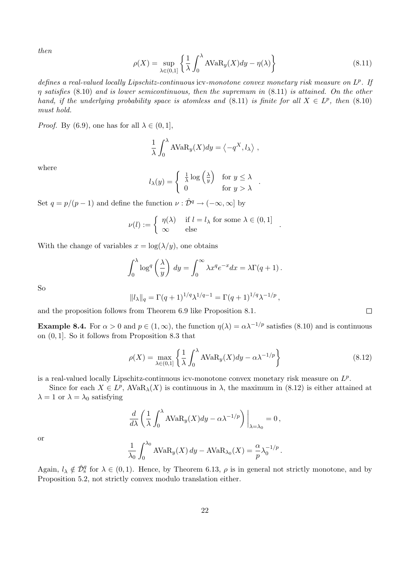then

$$
\rho(X) = \sup_{\lambda \in (0,1]} \left\{ \frac{1}{\lambda} \int_0^{\lambda} AVaR_y(X)dy - \eta(\lambda) \right\}
$$
\n(8.11)

defines a real-valued locally Lipschitz-continuous icv-monotone convex monetary risk measure on  $L^p$ . If  $\eta$  satisfies (8.10) and is lower semicontinuous, then the supremum in (8.11) is attained. On the other hand, if the underlying probability space is atomless and (8.11) is finite for all  $X \in L^p$ , then (8.10) must hold.

*Proof.* By (6.9), one has for all  $\lambda \in (0, 1]$ ,

$$
\frac{1}{\lambda} \int_0^{\lambda} A \text{VaR}_y(X) dy = \left\langle -q^X, l_\lambda \right\rangle,
$$

where

$$
l_{\lambda}(y) = \begin{cases} \frac{1}{\lambda} \log \left(\frac{\lambda}{y}\right) & \text{for } y \leq \lambda \\ 0 & \text{for } y > \lambda \end{cases}.
$$

Set  $q = p/(p-1)$  and define the function  $\nu : \hat{\mathcal{D}}^q \to (-\infty, \infty]$  by

$$
\nu(l) := \begin{cases} \eta(\lambda) & \text{if } l = l_{\lambda} \text{ for some } \lambda \in (0, 1] \\ \infty & \text{else} \end{cases}.
$$

With the change of variables  $x = \log(\lambda/y)$ , one obtains

$$
\int_0^\lambda \log^q \left(\frac{\lambda}{y}\right) \, dy = \int_0^\infty \lambda x^q e^{-x} dx = \lambda \Gamma(q+1) \, .
$$

So

$$
||l_{\lambda}||_q = \Gamma(q+1)^{1/q} \lambda^{1/q-1} = \Gamma(q+1)^{1/q} \lambda^{-1/p},
$$

and the proposition follows from Theorem 6.9 like Proposition 8.1.

**Example 8.4.** For  $\alpha > 0$  and  $p \in (1, \infty)$ , the function  $\eta(\lambda) = \alpha \lambda^{-1/p}$  satisfies (8.10) and is continuous on (0, 1]. So it follows from Proposition 8.3 that

$$
\rho(X) = \max_{\lambda \in (0,1]} \left\{ \frac{1}{\lambda} \int_0^{\lambda} AVaR_y(X)dy - \alpha \lambda^{-1/p} \right\}
$$
\n(8.12)

is a real-valued locally Lipschitz-continuous icv-monotone convex monetary risk measure on  $L^p$ .

Since for each  $X \in L^p$ ,  $AVaR_\lambda(X)$  is continuous in  $\lambda$ , the maximum in (8.12) is either attained at  $\lambda = 1$  or  $\lambda = \lambda_0$  satisfying

$$
\frac{d}{d\lambda} \left( \frac{1}{\lambda} \int_0^{\lambda} AVaR_y(X) dy - \alpha \lambda^{-1/p} \right) \Big|_{\lambda = \lambda_0} = 0,
$$

or

$$
\frac{1}{\lambda_0} \int_0^{\lambda_0} AVaR_y(X) dy - AVaR_{\lambda_0}(X) = \frac{\alpha}{p} \lambda_0^{-1/p}.
$$

Again,  $l_{\lambda} \notin \hat{\mathcal{D}}_s^q$  for  $\lambda \in (0, 1)$ . Hence, by Theorem 6.13,  $\rho$  is in general not strictly monotone, and by Proposition 5.2, not strictly convex modulo translation either.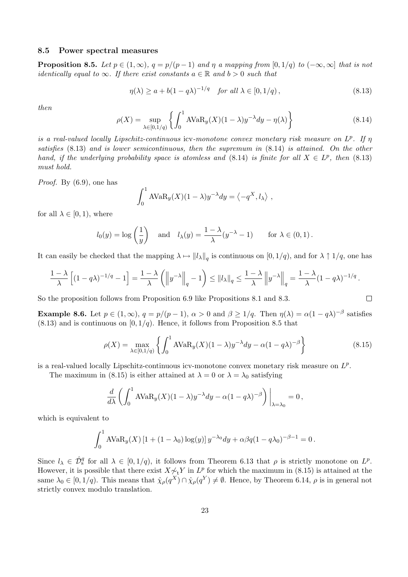#### 8.5 Power spectral measures

**Proposition 8.5.** Let  $p \in (1,\infty)$ ,  $q = p/(p-1)$  and  $\eta$  a mapping from  $[0,1/q)$  to  $(-\infty,\infty]$  that is not identically equal to  $\infty$ . If there exist constants  $a \in \mathbb{R}$  and  $b > 0$  such that

$$
\eta(\lambda) \ge a + b(1 - q\lambda)^{-1/q} \quad \text{for all } \lambda \in [0, 1/q), \tag{8.13}
$$

then

$$
\rho(X) = \sup_{\lambda \in [0,1/q)} \left\{ \int_0^1 \text{AVaR}_y(X)(1-\lambda)y^{-\lambda}dy - \eta(\lambda) \right\} \tag{8.14}
$$

is a real-valued locally Lipschitz-continuous icv-monotone convex monetary risk measure on  $L^p$ . If  $\eta$ satisfies (8.13) and is lower semicontinuous, then the supremum in (8.14) is attained. On the other hand, if the underlying probability space is atomless and (8.14) is finite for all  $X \in L^p$ , then (8.13) must hold.

Proof. By (6.9), one has

$$
\int_0^1 \mathrm{AVaR}_{y}(X)(1-\lambda)y^{-\lambda}dy = \left\langle -q^X, l_{\lambda} \right\rangle,
$$

for all  $\lambda \in [0, 1)$ , where

$$
l_0(y) = \log\left(\frac{1}{y}\right)
$$
 and  $l_\lambda(y) = \frac{1-\lambda}{\lambda}(y^{-\lambda} - 1)$  for  $\lambda \in (0,1)$ .

It can easily be checked that the mapping  $\lambda \mapsto ||l_{\lambda}||_q$  is continuous on  $[0, 1/q)$ , and for  $\lambda \uparrow 1/q$ , one has

$$
\frac{1-\lambda}{\lambda}\left[ (1-q\lambda)^{-1/q} - 1 \right] = \frac{1-\lambda}{\lambda} \left( \left\| y^{-\lambda} \right\|_q - 1 \right) \leq ||l_{\lambda}||_q \leq \frac{1-\lambda}{\lambda} \left\| y^{-\lambda} \right\|_q = \frac{1-\lambda}{\lambda} (1-q\lambda)^{-1/q}.
$$

So the proposition follows from Proposition 6.9 like Propositions 8.1 and 8.3.

**Example 8.6.** Let  $p \in (1,\infty)$ ,  $q = p/(p-1)$ ,  $\alpha > 0$  and  $\beta \ge 1/q$ . Then  $\eta(\lambda) = \alpha(1-q\lambda)^{-\beta}$  satisfies  $(8.13)$  and is continuous on  $[0, 1/q)$ . Hence, it follows from Proposition 8.5 that

$$
\rho(X) = \max_{\lambda \in [0,1/q)} \left\{ \int_0^1 \text{AVaR}_y(X)(1-\lambda)y^{-\lambda}dy - \alpha(1-q\lambda)^{-\beta} \right\} \tag{8.15}
$$

is a real-valued locally Lipschitz-continuous icv-monotone convex monetary risk measure on  $L^p$ .

The maximum in (8.15) is either attained at  $\lambda = 0$  or  $\lambda = \lambda_0$  satisfying

$$
\frac{d}{d\lambda} \left( \int_0^1 \mathrm{AVaR}_{y}(X) (1 - \lambda) y^{-\lambda} dy - \alpha (1 - q\lambda)^{-\beta} \right) \bigg|_{\lambda = \lambda_0} = 0,
$$

which is equivalent to

$$
\int_0^1 \text{AVaR}_y(X) \left[1 + (1 - \lambda_0) \log(y)\right] y^{-\lambda_0} dy + \alpha \beta q (1 - q\lambda_0)^{-\beta - 1} = 0.
$$

Since  $l_{\lambda} \in \hat{\mathcal{D}}_s^q$  for all  $\lambda \in [0, 1/q)$ , it follows from Theorem 6.13 that  $\rho$  is strictly monotone on  $L^p$ . However, it is possible that there exist  $X \not\sim_t Y$  in  $L^p$  for which the maximum in (8.15) is attained at the same  $\lambda_0 \in [0, 1/q)$ . This means that  $\hat{\chi}_{\rho}(q^X) \cap \hat{\chi}_{\rho}(q^Y) \neq \emptyset$ . Hence, by Theorem 6.14,  $\rho$  is in general not strictly convex modulo translation.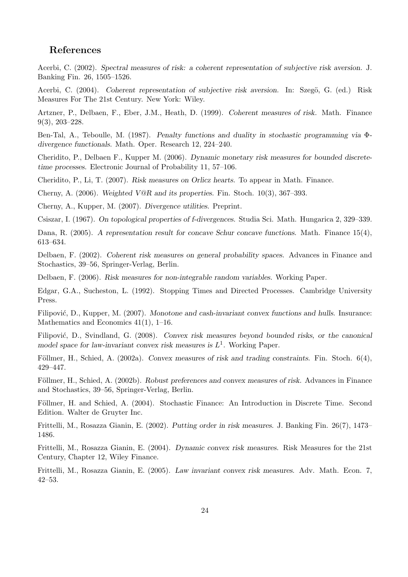# References

Acerbi, C. (2002). Spectral measures of risk: a coherent representation of subjective risk aversion. J. Banking Fin. 26, 1505–1526.

Acerbi, C. (2004). Coherent representation of subjective risk aversion. In: Szegö, G. (ed.) Risk Measures For The 21st Century. New York: Wiley.

Artzner, P., Delbaen, F., Eber, J.M., Heath, D. (1999). Coherent measures of risk. Math. Finance 9(3), 203–228.

Ben-Tal, A., Teboulle, M. (1987). Penalty functions and duality in stochastic programming via Φdivergence functionals. Math. Oper. Research 12, 224–240.

Cheridito, P., Delbaen F., Kupper M. (2006). Dynamic monetary risk measures for bounded discretetime processes. Electronic Journal of Probability 11, 57–106.

Cheridito, P., Li, T. (2007). Risk measures on Orlicz hearts. To appear in Math. Finance.

Cherny, A. (2006). Weighted V@R and its properties. Fin. Stoch.  $10(3)$ , 367–393.

Cherny, A., Kupper, M. (2007). Divergence utilities. Preprint.

Csiszar, I. (1967). On topological properties of f-divergences. Studia Sci. Math. Hungarica 2, 329–339.

Dana, R. (2005). A representation result for concave Schur concave functions. Math. Finance 15(4), 613–634.

Delbaen, F. (2002). Coherent risk measures on general probability spaces. Advances in Finance and Stochastics, 39–56, Springer-Verlag, Berlin.

Delbaen, F. (2006). Risk measures for non-integrable random variables. Working Paper.

Edgar, G.A., Sucheston, L. (1992). Stopping Times and Directed Processes. Cambridge University Press.

Filipović, D., Kupper, M. (2007). Monotone and cash-invariant convex functions and hulls. Insurance: Mathematics and Economics 41(1), 1–16.

Filipović, D., Svindland, G. (2008). Convex risk measures beyond bounded risks, or the canonical model space for law-invariant convex risk measures is  $L<sup>1</sup>$ . Working Paper.

Föllmer, H., Schied, A. (2002a). Convex measures of risk and trading constraints. Fin. Stoch.  $6(4)$ , 429–447.

Föllmer, H., Schied, A. (2002b). Robust preferences and convex measures of risk. Advances in Finance and Stochastics, 39–56, Springer-Verlag, Berlin.

Föllmer, H. and Schied, A. (2004). Stochastic Finance: An Introduction in Discrete Time. Second Edition. Walter de Gruyter Inc.

Frittelli, M., Rosazza Gianin, E. (2002). Putting order in risk measures. J. Banking Fin. 26(7), 1473– 1486.

Frittelli, M., Rosazza Gianin, E. (2004). Dynamic convex risk measures. Risk Measures for the 21st Century, Chapter 12, Wiley Finance.

Frittelli, M., Rosazza Gianin, E. (2005). Law invariant convex risk measures. Adv. Math. Econ. 7, 42–53.